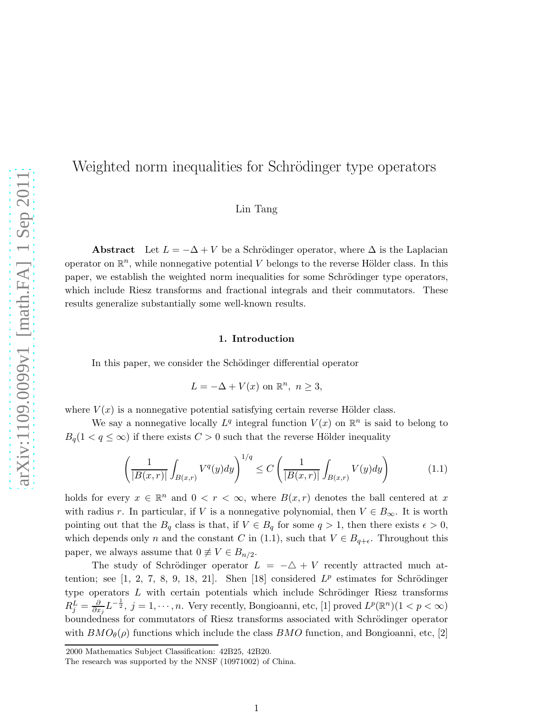# Weighted norm inequalities for Schrödinger type operators

Lin Tang

Abstract Let  $L = -\Delta + V$  be a Schrödinger operator, where  $\Delta$  is the Laplacian operator on  $\mathbb{R}^n$ , while nonnegative potential V belongs to the reverse Hölder class. In this paper, we establish the weighted norm inequalities for some Schrödinger type operators, which include Riesz transforms and fractional integrals and their commutators. These results generalize substantially some well-known results.

#### 1. Introduction

In this paper, we consider the Schödinger differential operator

$$
L = -\Delta + V(x) \text{ on } \mathbb{R}^n, n \ge 3,
$$

where  $V(x)$  is a nonnegative potential satisfying certain reverse Hölder class.

We say a nonnegative locally  $L^q$  integral function  $V(x)$  on  $\mathbb{R}^n$  is said to belong to  $B_q(1 < q \leq \infty)$  if there exists  $C > 0$  such that the reverse Hölder inequality

$$
\left(\frac{1}{|B(x,r)|}\int_{B(x,r)}V^q(y)dy\right)^{1/q} \le C\left(\frac{1}{|B(x,r)|}\int_{B(x,r)}V(y)dy\right) \tag{1.1}
$$

holds for every  $x \in \mathbb{R}^n$  and  $0 < r < \infty$ , where  $B(x,r)$  denotes the ball centered at x with radius r. In particular, if V is a nonnegative polynomial, then  $V \in B_{\infty}$ . It is worth pointing out that the  $B_q$  class is that, if  $V \in B_q$  for some  $q > 1$ , then there exists  $\epsilon > 0$ , which depends only n and the constant C in (1.1), such that  $V \in B_{q+\epsilon}$ . Throughout this paper, we always assume that  $0 \neq V \in B_{n/2}$ .

The study of Schrödinger operator  $L = -\Delta + V$  recently attracted much attention; see  $[1, 2, 7, 8, 9, 18, 21]$ . Shen  $[18]$  considered  $L^p$  estimates for Schrödinger type operators  $L$  with certain potentials which include Schrödinger Riesz transforms  $R_j^L = \frac{\partial}{\partial x}$  $\frac{\partial}{\partial x_j} L^{-\frac{1}{2}}, j = 1, \dots, n$ . Very recently, Bongioanni, etc, [1] proved  $L^p(\mathbb{R}^n)$  $(1 < p < \infty)$ boundedness for commutators of Riesz transforms associated with Schrödinger operator with  $BMO_{\theta}(\rho)$  functions which include the class  $BMO$  function, and Bongioanni, etc, [2]

<sup>2000</sup> Mathematics Subject Classification: 42B25, 42B20.

The research was supported by the NNSF (10971002) of China.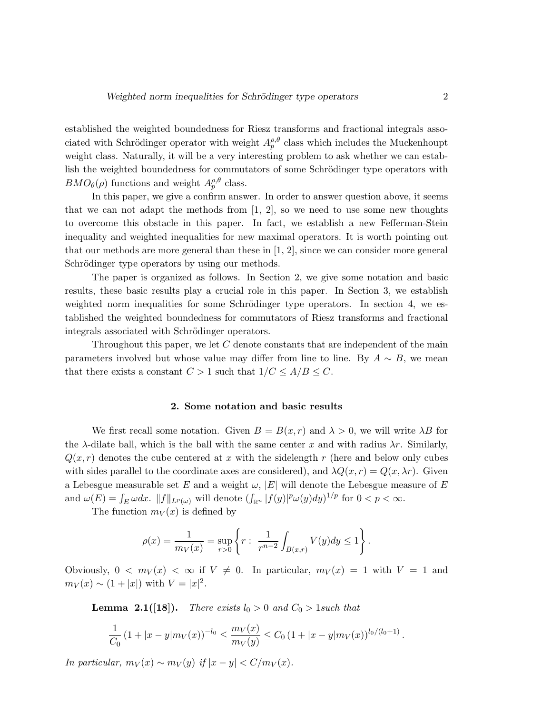established the weighted boundedness for Riesz transforms and fractional integrals associated with Schrödinger operator with weight  $A_p^{\rho, \theta}$  class which includes the Muckenhoupt weight class. Naturally, it will be a very interesting problem to ask whether we can establish the weighted boundedness for commutators of some Schrödinger type operators with  $BMO_{\theta}(\rho)$  functions and weight  $A_p^{\rho,\theta}$  class.

In this paper, we give a confirm answer. In order to answer question above, it seems that we can not adapt the methods from  $[1, 2]$ , so we need to use some new thoughts to overcome this obstacle in this paper. In fact, we establish a new Fefferman-Stein inequality and weighted inequalities for new maximal operators. It is worth pointing out that our methods are more general than these in [1, 2], since we can consider more general Schrödinger type operators by using our methods.

The paper is organized as follows. In Section 2, we give some notation and basic results, these basic results play a crucial role in this paper. In Section 3, we establish weighted norm inequalities for some Schrödinger type operators. In section 4, we established the weighted boundedness for commutators of Riesz transforms and fractional integrals associated with Schrödinger operators.

Throughout this paper, we let C denote constants that are independent of the main parameters involved but whose value may differ from line to line. By  $A \sim B$ , we mean that there exists a constant  $C > 1$  such that  $1/C \leq A/B \leq C$ .

#### 2. Some notation and basic results

We first recall some notation. Given  $B = B(x, r)$  and  $\lambda > 0$ , we will write  $\lambda B$  for the  $\lambda$ -dilate ball, which is the ball with the same center x and with radius  $\lambda r$ . Similarly,  $Q(x, r)$  denotes the cube centered at x with the sidelength r (here and below only cubes with sides parallel to the coordinate axes are considered), and  $\lambda Q(x, r) = Q(x, \lambda r)$ . Given a Lebesgue measurable set E and a weight  $\omega$ ,  $|E|$  will denote the Lebesgue measure of E and  $\omega(E) = \int_E \omega dx$ .  $||f||_{L^p(\omega)}$  will denote  $(\int_{\mathbb{R}^n} |f(y)|^p \omega(y) dy)^{1/p}$  for  $0 < p < \infty$ .

The function  $m_V(x)$  is defined by

$$
\rho(x) = \frac{1}{m_V(x)} = \sup_{r>0} \left\{ r : \frac{1}{r^{n-2}} \int_{B(x,r)} V(y) dy \le 1 \right\}.
$$

Obviously,  $0 < m_V(x) < \infty$  if  $V \neq 0$ . In particular,  $m_V(x) = 1$  with  $V = 1$  and  $m_V(x) \sim (1+|x|)$  with  $V = |x|^2$ .

**Lemma 2.1([18]).** *There exists*  $l_0 > 0$  *and*  $C_0 > 1$ *such that* 

$$
\frac{1}{C_0} \left(1+|x-y|m_V(x)\right)^{-l_0} \leq \frac{m_V(x)}{m_V(y)} \leq C_0 \left(1+|x-y|m_V(x)\right)^{l_0/(l_0+1)}.
$$

*In particular,*  $m_V(x) \sim m_V(y)$  *if*  $|x - y| < C/m_V(x)$ *.*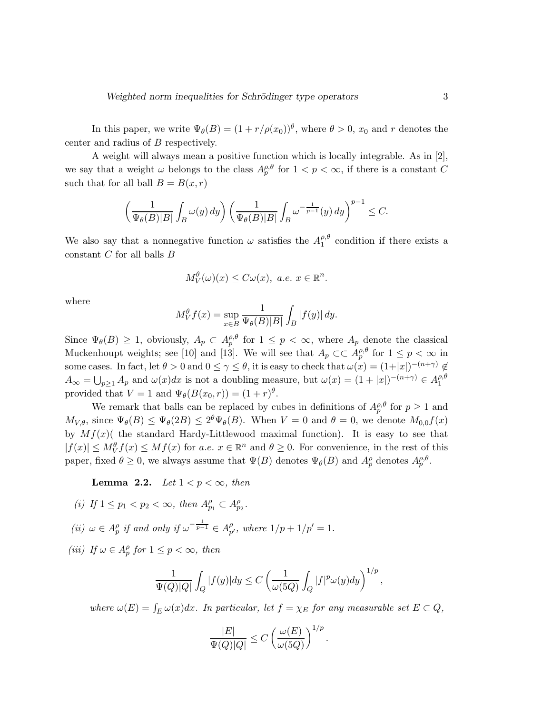In this paper, we write  $\Psi_{\theta}(B) = (1 + r/\rho(x_0))^{\theta}$ , where  $\theta > 0$ ,  $x_0$  and r denotes the center and radius of B respectively.

A weight will always mean a positive function which is locally integrable. As in [2], we say that a weight  $\omega$  belongs to the class  $A_p^{\rho,\theta}$  for  $1 < p < \infty$ , if there is a constant C such that for all ball  $B = B(x, r)$ 

$$
\left(\frac{1}{\Psi_{\theta}(B)|B|} \int_{B} \omega(y) \, dy\right) \left(\frac{1}{\Psi_{\theta}(B)|B|} \int_{B} \omega^{-\frac{1}{p-1}}(y) \, dy\right)^{p-1} \leq C.
$$

We also say that a nonnegative function  $\omega$  satisfies the  $A_1^{\rho,\theta}$  $l_1^{\rho,\sigma}$  condition if there exists a constant  $C$  for all balls  $B$ 

$$
M_V^{\theta}(\omega)(x) \leq C\omega(x), \ a.e. \ x \in \mathbb{R}^n.
$$

where

$$
M_V^{\theta} f(x) = \sup_{x \in B} \frac{1}{\Psi_{\theta}(B)|B|} \int_B |f(y)| dy.
$$

Since  $\Psi_{\theta}(B) \geq 1$ , obviously,  $A_p \subset A_p^{\rho,\theta}$  for  $1 \leq p < \infty$ , where  $A_p$  denote the classical Muckenhoupt weights; see [10] and [13]. We will see that  $A_p \subset \subset A_p^{\rho,\theta}$  for  $1 \leq p < \infty$  in some cases. In fact, let  $\theta > 0$  and  $0 \leq \gamma \leq \theta$ , it is easy to check that  $\omega(x) = (1+|x|)^{-(n+\gamma)} \notin$  $A_{\infty} = \bigcup_{p\geq 1} A_p$  and  $\omega(x)dx$  is not a doubling measure, but  $\omega(x) = (1+|x|)^{-(n+\gamma)} \in A_1^{\rho, \theta}$ 1 provided that  $V = 1$  and  $\Psi_{\theta}(B(x_0, r)) = (1 + r)^{\theta}$ .

We remark that balls can be replaced by cubes in definitions of  $A_p^{\rho,\theta}$  for  $p \ge 1$  and  $M_{V,\theta}$ , since  $\Psi_{\theta}(B) \le \Psi_{\theta}(2B) \le 2^{\theta}\Psi_{\theta}(B)$ . When  $V = 0$  and  $\theta = 0$ , we denote  $M_{0,0}f(x)$ by  $Mf(x)$  the standard Hardy-Littlewood maximal function). It is easy to see that  $|f(x)| \le M_V^{\theta} f(x) \le M_f(x)$  for a.e.  $x \in \mathbb{R}^n$  and  $\theta \ge 0$ . For convenience, in the rest of this paper, fixed  $\theta \ge 0$ , we always assume that  $\Psi(B)$  denotes  $\Psi_{\theta}(B)$  and  $A^{\rho}_{p}$  denotes  $A^{\rho,\theta}_{p}$ .

**Lemma 2.2.** *Let*  $1 < p < \infty$ *, then* 

- (*i*) If  $1 \le p_1 < p_2 < \infty$ , then  $A_{p_1}^{\rho} \subset A_{p_2}^{\rho}$ .
- $(iii) \omega \in A_p^{\rho}$  if and only if  $\omega^{-\frac{1}{p-1}} \in A_p^{\rho}$  $_{p'}^{\rho}$ , where  $1/p + 1/p' = 1$ .
- (*iii*) If  $\omega \in A_p^{\rho}$  for  $1 \le p < \infty$ , then

$$
\frac{1}{\Psi(Q)|Q|}\int_Q|f(y)|dy\leq C\left(\frac{1}{\omega(5Q)}\int_Q|f|^p\omega(y)dy\right)^{1/p},
$$

where  $\omega(E) = \int_E \omega(x)dx$ . In particular, let  $f = \chi_E$  for any measurable set  $E \subset Q$ ,

$$
\frac{|E|}{\Psi(Q)|Q|} \le C \left(\frac{\omega(E)}{\omega(5Q)}\right)^{1/p}.
$$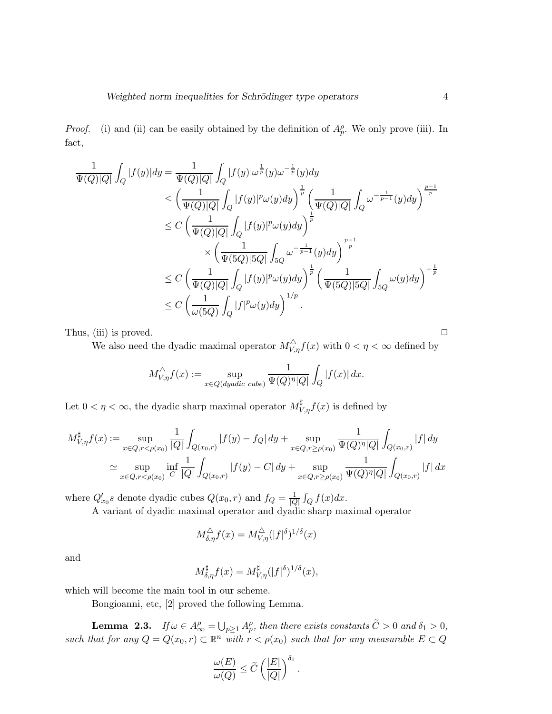*Proof.* (i) and (ii) can be easily obtained by the definition of  $A_p^{\rho}$ . We only prove (iii). In fact,

$$
\frac{1}{\Psi(Q)|Q|} \int_Q |f(y)| dy = \frac{1}{\Psi(Q)|Q|} \int_Q |f(y)| \omega^{\frac{1}{p}}(y) \omega^{-\frac{1}{p}}(y) dy
$$
\n
$$
\leq \left(\frac{1}{\Psi(Q)|Q|} \int_Q |f(y)|^p \omega(y) dy\right)^{\frac{1}{p}} \left(\frac{1}{\Psi(Q)|Q|} \int_Q \omega^{-\frac{1}{p-1}}(y) dy\right)^{\frac{p-1}{p}}
$$
\n
$$
\leq C \left(\frac{1}{\Psi(Q)|Q|} \int_Q |f(y)|^p \omega(y) dy\right)^{\frac{1}{p}}
$$
\n
$$
\times \left(\frac{1}{\Psi(5Q)|5Q|} \int_{5Q} \omega^{-\frac{1}{p-1}}(y) dy\right)^{\frac{p-1}{p}}
$$
\n
$$
\leq C \left(\frac{1}{\Psi(Q)|Q|} \int_Q |f(y)|^p \omega(y) dy\right)^{\frac{1}{p}} \left(\frac{1}{\Psi(5Q)|5Q|} \int_{5Q} \omega(y) dy\right)^{-\frac{1}{p}}
$$
\n
$$
\leq C \left(\frac{1}{\omega(5Q)} \int_Q |f|^p \omega(y) dy\right)^{1/p}.
$$

Thus, (iii) is proved.  $\Box$ 

We also need the dyadic maximal operator  $M_{V,\eta}^{\triangle} f(x)$  with  $0 < \eta < \infty$  defined by

$$
M_{V,\eta}^{\triangle}f(x) := \sup_{x \in Q(dyadic \ cube)} \frac{1}{\Psi(Q)^{\eta}|Q|} \int_{Q} |f(x)| dx.
$$

Let  $0 < \eta < \infty$ , the dyadic sharp maximal operator  $M^{\sharp}_{V,\eta} f(x)$  is defined by

$$
M_{V,\eta}^{\sharp}f(x) := \sup_{x \in Q, r < \rho(x_0)} \frac{1}{|Q|} \int_{Q(x_0,r)} |f(y) - f_Q| \, dy + \sup_{x \in Q, r \ge \rho(x_0)} \frac{1}{\Psi(Q)^{\eta} |Q|} \int_{Q(x_0,r)} |f| \, dy
$$
\n
$$
\simeq \sup_{x \in Q, r < \rho(x_0)} \inf_{C} \frac{1}{|Q|} \int_{Q(x_0,r)} |f(y) - C| \, dy + \sup_{x \in Q, r \ge \rho(x_0)} \frac{1}{\Psi(Q)^{\eta} |Q|} \int_{Q(x_0,r)} |f| \, dx
$$

where  $Q'_{x_0}s$  denote dyadic cubes  $Q(x_0,r)$  and  $f_Q = \frac{1}{|Q|} \int_Q f(x) dx$ .

A variant of dyadic maximal operator and dyadic sharp maximal operator

$$
M^{\triangle}_{\delta,\eta} f(x) = M^{\triangle}_{V,\eta} (|f|^{\delta})^{1/\delta}(x)
$$

and

$$
M_{\delta,\eta}^{\sharp}f(x) = M_{V,\eta}^{\sharp}(|f|^{\delta})^{1/\delta}(x),
$$

which will become the main tool in our scheme.

Bongioanni, etc, [2] proved the following Lemma.

**Lemma 2.3.** *If*  $\omega \in A^{\rho}_{\infty} = \bigcup_{p \geq 1} A^{\rho}_p$ , then there exists constants  $\widetilde{C} > 0$  and  $\delta_1 > 0$ , *such that for any*  $Q = Q(x_0, r) \subset \mathbb{R}^n$  *with*  $r < \rho(x_0)$  *such that for any measurable*  $E \subset Q$ 

$$
\frac{\omega(E)}{\omega(Q)} \le \widetilde{C} \left( \frac{|E|}{|Q|} \right)^{\delta_1}
$$

.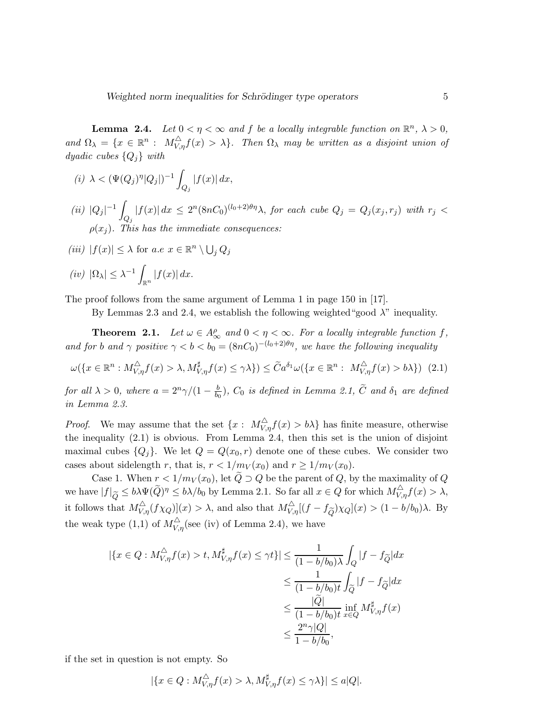**Lemma 2.4.** Let  $0 < \eta < \infty$  and f be a locally integrable function on  $\mathbb{R}^n$ ,  $\lambda > 0$ ,  $and \Omega_{\lambda} = \{x \in \mathbb{R}^{n} : M_{V,\eta}^{\triangle} f(x) > \lambda\}.$  Then  $\Omega_{\lambda}$  *may be written as a disjoint union of dyadic cubes* {Qj} *with*

- (*i*)  $\lambda < (\Psi(Q_j)^{\eta} |Q_j|)^{-1}$  $\int_{Q_j} |f(x)| dx,$
- $(ii) |Q_j|^{-1}$  $\int_{Q_j} |f(x)| dx \leq 2^n (8nC_0)^{(l_0+2)\theta\eta} \lambda$ , for each cube  $Q_j = Q_j(x_j,r_j)$  with  $r_j <$  $\rho(x_i)$ . This has the immediate consequences:

$$
(iii) |f(x)| \leq \lambda \text{ for a.e } x \in \mathbb{R}^n \setminus \bigcup_j Q_j
$$

 $(iv)$   $|\Omega_{\lambda}| \leq \lambda^{-1}$  $\int_{\mathbb{R}^n} |f(x)| dx.$ 

The proof follows from the same argument of Lemma 1 in page 150 in [17].

By Lemmas 2.3 and 2.4, we establish the following weighted "good  $\lambda$ " inequality.

**Theorem 2.1.** Let  $\omega \in A^{\rho}_{\infty}$  and  $0 < \eta < \infty$ . For a locally integrable function f, *and for b and*  $\gamma$  *positive*  $\gamma < b < b_0 = (8nC_0)^{-(l_0+2)\theta\eta}$ *, we have the following inequality* 

$$
\omega(\lbrace x \in \mathbb{R}^n : M_{V,\eta}^{\triangle} f(x) > \lambda, M_{V,\eta}^{\sharp} f(x) \leq \gamma \lambda \rbrace) \leq \widetilde{C}a^{\delta_1} \omega(\lbrace x \in \mathbb{R}^n : M_{V,\eta}^{\triangle} f(x) > b\lambda \rbrace) \tag{2.1}
$$

*for all*  $\lambda > 0$ , where  $a = 2^n \gamma/(1 - \frac{b}{b_0})$ ,  $C_0$  is defined in Lemma 2.1,  $\tilde{C}$  and  $\delta_1$  are defined *in Lemma 2.3.*

*Proof.* We may assume that the set  $\{x: M_{V,\eta}^{\triangle} f(x) > b\lambda\}$  has finite measure, otherwise the inequality (2.1) is obvious. From Lemma 2.4, then this set is the union of disjoint maximal cubes  ${Q_i}$ . We let  $Q = Q(x_0, r)$  denote one of these cubes. We consider two cases about sidelength r, that is,  $r < 1/m_V(x_0)$  and  $r \ge 1/m_V(x_0)$ .

Case 1. When  $r < 1/m_V(x_0)$ , let  $\tilde{Q} \supset Q$  be the parent of Q, by the maximality of Q we have  $|f|_{\widetilde{Q}} \leq b\lambda \Psi(\widetilde{Q})^{\eta} \leq b\lambda/b_0$  by Lemma 2.1. So far all  $x \in Q$  for which  $M_{V,\eta}^{\triangle} f(x) > \lambda$ , it follows that  $M_{V,\eta}^{\triangle}(f\chi_Q)(x) > \lambda$ , and also that  $M_{V,\eta}^{\triangle}[(f-f_{\widetilde{Q}})\chi_Q](x) > (1-b/b_0)\lambda$ . By the weak type (1,1) of  $M_{V,\eta}^{\triangle}$  (see (iv) of Lemma 2.4), we have

$$
\begin{aligned} |\{x \in Q : M_{V,\eta}^{\triangle} f(x) > t, M_{V,\eta}^{\sharp} f(x) \leq \gamma t\}| &\leq \frac{1}{(1-b/b_0)\lambda} \int_Q |f - f_{\widetilde{Q}}| dx \\ &\leq \frac{1}{(1-b/b_0)t} \int_{\widetilde{Q}} |f - f_{\widetilde{Q}}| dx \\ &\leq \frac{|\widetilde{Q}|}{(1-b/b_0)t} \inf_{x \in Q} M_{V,\eta}^{\sharp} f(x) \\ &\leq \frac{2^n \gamma |Q|}{1-b/b_0}, \end{aligned}
$$

if the set in question is not empty. So

$$
|\{x \in Q : M_{V,\eta}^{\triangle} f(x) > \lambda, M_{V,\eta}^{\sharp} f(x) \le \gamma \lambda\}| \le a|Q|.
$$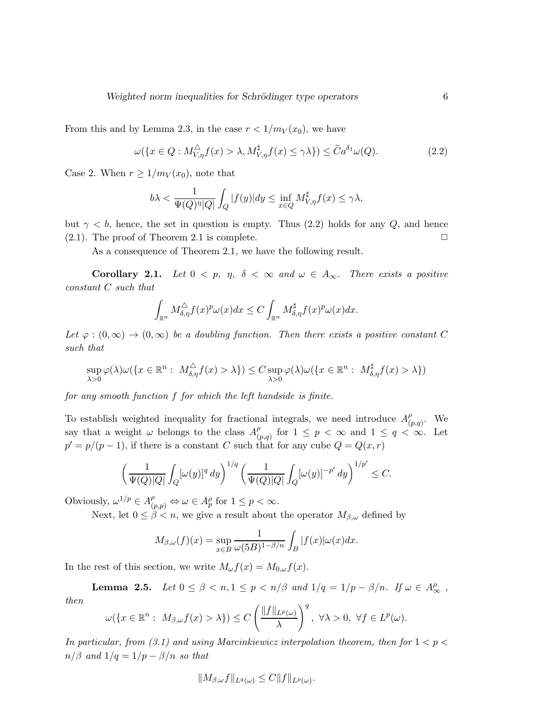From this and by Lemma 2.3, in the case  $r < 1/m_V(x_0)$ , we have

$$
\omega(\lbrace x \in Q : M_{V,\eta}^{\triangle} f(x) > \lambda, M_{V,\eta}^{\sharp} f(x) \leq \gamma \lambda \rbrace) \leq \widetilde{C}a^{\delta_1} \omega(Q). \tag{2.2}
$$

Case 2. When  $r \geq 1/m_V(x_0)$ , note that

$$
b\lambda < \frac{1}{\Psi(Q)^{\eta}|Q|} \int_{Q} |f(y)| dy \le \inf_{x \in Q} M_{V,\eta}^{\sharp} f(x) \le \gamma \lambda,
$$

but  $\gamma < b$ , hence, the set in question is empty. Thus (2.2) holds for any Q, and hence (2.1). The proof of Theorem 2.1 is complete.  $\Box$ 

As a consequence of Theorem 2.1, we have the following result.

**Corollary 2.1.** *Let*  $0 < p$ ,  $\eta$ ,  $\delta < \infty$  *and*  $\omega \in A_{\infty}$ *. There exists a positive constant* C *such that*

$$
\int_{\mathbb{R}^n} M_{\delta,\eta}^{\triangle} f(x)^p \omega(x) dx \leq C \int_{\mathbb{R}^n} M_{\delta,\eta}^{\sharp} f(x)^p \omega(x) dx.
$$

Let  $\varphi: (0,\infty) \to (0,\infty)$  *be a doubling function. Then there exists a positive constant* C *such that*

$$
\sup_{\lambda>0} \varphi(\lambda)\omega(\{x \in \mathbb{R}^n : M_{\delta,\eta}^{\triangle} f(x) > \lambda\}) \leq C \sup_{\lambda>0} \varphi(\lambda)\omega(\{x \in \mathbb{R}^n : M_{\delta,\eta}^{\sharp} f(x) > \lambda\})
$$

*for any smooth function* f *for which the left handside is finite.*

To establish weighted inequality for fractional integrals, we need introduce  $A_{\beta}^{\rho}$  $_{(p,q)}^{\rho}$ . We say that a weight  $\omega$  belongs to the class  $A_{\beta}^{\rho}$  $_{(p,q)}^{\rho}$  for  $1 \leq p < \infty$  and  $1 \leq q < \infty$ . Let  $p' = p/(p-1)$ , if there is a constant C such that for any cube  $Q = Q(x, r)$ 

$$
\left(\frac{1}{\Psi(Q)|Q|}\int_Q [\omega(y)]^q\,dy\right)^{1/q}\left(\frac{1}{\Psi(Q)|Q|}\int_Q [\omega(y)]^{-p'}\,dy\right)^{1/p'}\leq C.
$$

Obviously,  $\omega^{1/p} \in A_{(p,p)}^{\rho} \Leftrightarrow \omega \in A_p^{\rho}$  for  $1 \le p < \infty$ .

Next, let  $0 \leq \beta < n$ , we give a result about the operator  $M_{\beta,\omega}$  defined by

$$
M_{\beta,\omega}(f)(x) = \sup_{x \in B} \frac{1}{\omega(5B)^{1-\beta/n}} \int_B |f(x)| \omega(x) dx.
$$

In the rest of this section, we write  $M_{\omega}f(x) = M_{0,\omega}f(x)$ .

**Lemma 2.5.** *Let*  $0 \le \beta < n, 1 \le p < n/\beta$  *and*  $1/q = 1/p - \beta/n$ *. If*  $\omega \in A^{\rho}_{\infty}$ , *then*

$$
\omega(\lbrace x \in \mathbb{R}^n : M_{\beta,\omega}f(x) > \lambda \rbrace) \leq C \left( \frac{\Vert f \Vert_{L^p(\omega)}}{\lambda} \right)^q, \ \forall \lambda > 0, \ \forall f \in L^p(\omega).
$$

*In particular, from (3.1) and using Marcinkiewicz interpolation theorem, then for*  $1 < p <$  $n/\beta$  *and*  $1/q = 1/p - \beta/n$  *so that* 

$$
||M_{\beta,\omega}f||_{L^q(\omega)} \leq C||f||_{L^p(\omega)}.
$$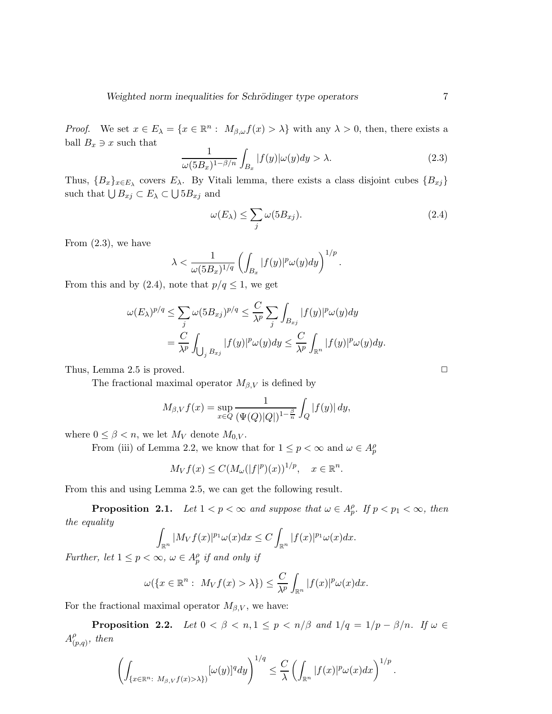*Proof.* We set  $x \in E_\lambda = \{x \in \mathbb{R}^n : M_{\beta,\omega}f(x) > \lambda\}$  with any  $\lambda > 0$ , then, there exists a ball  $B_x \ni x$  such that

$$
\frac{1}{\omega(5B_x)^{1-\beta/n}} \int_{B_x} |f(y)| \omega(y) dy > \lambda.
$$
 (2.3)

Thus,  ${B_x}_{x \in E_\lambda}$  covers  $E_\lambda$ . By Vitali lemma, there exists a class disjoint cubes  ${B_{xj}}$ such that  $\bigcup B_{xj} \subset E_{\lambda} \subset \bigcup 5B_{xj}$  and

$$
\omega(E_{\lambda}) \le \sum_{j} \omega(5B_{xj}). \tag{2.4}
$$

From  $(2.3)$ , we have

$$
\lambda < \frac{1}{\omega(5B_x)^{1/q}} \left( \int_{B_x} |f(y)|^p \omega(y) dy \right)^{1/p}.
$$

From this and by (2.4), note that  $p/q \leq 1$ , we get

$$
\omega(E_{\lambda})^{p/q} \leq \sum_{j} \omega(5B_{xj})^{p/q} \leq \frac{C}{\lambda^p} \sum_{j} \int_{B_{xj}} |f(y)|^p \omega(y) dy
$$
  
= 
$$
\frac{C}{\lambda^p} \int_{\bigcup_{j} B_{xj}} |f(y)|^p \omega(y) dy \leq \frac{C}{\lambda^p} \int_{\mathbb{R}^n} |f(y)|^p \omega(y) dy.
$$

Thus, Lemma 2.5 is proved.  $\Box$ 

The fractional maximal operator  $M_{\beta,V}$  is defined by

$$
M_{\beta,V}f(x) = \sup_{x \in Q} \frac{1}{(\Psi(Q)|Q|)^{1-\frac{\beta}{n}}} \int_Q |f(y)| \, dy,
$$

where  $0 \leq \beta < n$ , we let  $M_V$  denote  $M_{0,V}$ .

From (iii) of Lemma 2.2, we know that for  $1 \le p < \infty$  and  $\omega \in A_p^{\rho}$ 

$$
M_V f(x) \leq C(M_\omega(|f|^p)(x))^{1/p}, \quad x \in \mathbb{R}^n.
$$

From this and using Lemma 2.5, we can get the following result.

**Proposition 2.1.** *Let*  $1 < p < \infty$  *and suppose that*  $\omega \in A_p^{\rho}$ *. If*  $p < p_1 < \infty$ *, then the equality*

$$
\int_{\mathbb{R}^n} |M_V f(x)|^{p_1} \omega(x) dx \leq C \int_{\mathbb{R}^n} |f(x)|^{p_1} \omega(x) dx.
$$

*Further, let*  $1 \leq p < \infty$ ,  $\omega \in A_p^{\rho}$  *if and only if* 

$$
\omega(\lbrace x \in \mathbb{R}^n : M_V f(x) > \lambda \rbrace) \leq \frac{C}{\lambda^p} \int_{\mathbb{R}^n} |f(x)|^p \omega(x) dx.
$$

For the fractional maximal operator  $M_{\beta,V}$ , we have:

**Proposition 2.2.** *Let*  $0 < \beta < n, 1 \le p < n/\beta$  *and*  $1/q = 1/p - \beta/n$ *. If*  $\omega \in$  $A^\rho_{\alpha}$  $_{(p,q)}^{\rho}$ *, then* 

$$
\left(\int_{\{x\in\mathbb{R}^n:\ M_{\beta,V}f(x)>\lambda\}}[\omega(y)]^q dy\right)^{1/q}\leq\frac{C}{\lambda}\left(\int_{\mathbb{R}^n}|f(x)|^p\omega(x)dx\right)^{1/p}.
$$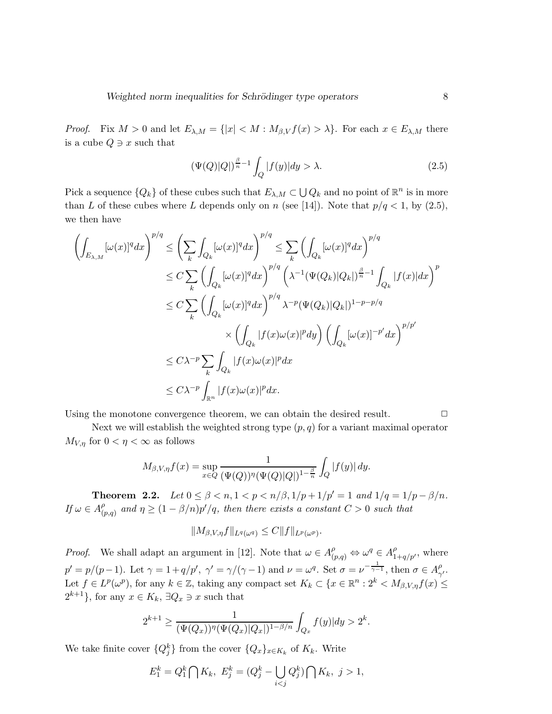*Proof.* Fix  $M > 0$  and let  $E_{\lambda,M} = \{|x| < M : M_{\beta,V} f(x) > \lambda\}$ . For each  $x \in E_{\lambda,M}$  there is a cube  $Q \ni x$  such that

$$
\left(\Psi(Q)|Q|\right)^{\frac{\beta}{n}-1}\int_{Q}|f(y)|dy > \lambda.
$$
\n(2.5)

Pick a sequence  $\{Q_k\}$  of these cubes such that  $E_{\lambda,M} \subset \bigcup Q_k$  and no point of  $\mathbb{R}^n$  is in more than L of these cubes where L depends only on n (see [14]). Note that  $p/q < 1$ , by (2.5), we then have

$$
\left(\int_{E_{\lambda,M}} [\omega(x)]^q dx\right)^{p/q} \leq \left(\sum_k \int_{Q_k} [\omega(x)]^q dx\right)^{p/q} \leq \sum_k \left(\int_{Q_k} [\omega(x)]^q dx\right)^{p/q}
$$
  
\n
$$
\leq C \sum_k \left(\int_{Q_k} [\omega(x)]^q dx\right)^{p/q} \left(\lambda^{-1} (\Psi(Q_k)|Q_k|)^{\frac{\beta}{n}-1} \int_{Q_k} |f(x)| dx\right)^p
$$
  
\n
$$
\leq C \sum_k \left(\int_{Q_k} [\omega(x)]^q dx\right)^{p/q} \lambda^{-p} (\Psi(Q_k)|Q_k|)^{1-p-p/q}
$$
  
\n
$$
\times \left(\int_{Q_k} |f(x)\omega(x)|^p dy\right) \left(\int_{Q_k} [\omega(x)]^{-p'} dx\right)^{p/p'}
$$
  
\n
$$
\leq C\lambda^{-p} \sum_k \int_{Q_k} |f(x)\omega(x)|^p dx
$$
  
\n
$$
\leq C\lambda^{-p} \int_{\mathbb{R}^n} |f(x)\omega(x)|^p dx.
$$

Using the monotone convergence theorem, we can obtain the desired result.  $\Box$ 

Next we will establish the weighted strong type  $(p, q)$  for a variant maximal operator  $M_{V,n}$  for  $0 < \eta < \infty$  as follows

$$
M_{\beta,V,\eta}f(x) = \sup_{x \in Q} \frac{1}{(\Psi(Q))^{\eta}(\Psi(Q)|Q|)^{1-\frac{\beta}{n}}} \int_{Q} |f(y)| dy.
$$

**Theorem 2.2.** *Let*  $0 \le \beta < n, 1 < p < n/\beta, 1/p + 1/p' = 1$  *and*  $1/q = 1/p - \beta/n$ *. If*  $\omega \in A_0^{\rho}$  $\int_{(p,q)}^{\rho}$  and  $\eta \geq (1 - \beta/n)p'/q$ , then there exists a constant  $C > 0$  such that

$$
||M_{\beta,V,\eta}f||_{L^q(\omega^q)} \leq C||f||_{L^p(\omega^p)}.
$$

*Proof.* We shall adapt an argument in [12]. Note that  $\omega \in A_{(p,q)}^{\rho} \Leftrightarrow \omega^q \in A_{1+q/p'}^{\rho}$ , where  $p' = p/(p-1)$ . Let  $\gamma = 1 + q/p'$ ,  $\gamma' = \gamma/(\gamma - 1)$  and  $\nu = \omega^q$ . Set  $\sigma = \nu^{-\frac{1}{\gamma - 1}}$ , then  $\sigma \in A_{\gamma}^{\rho}$  $_{\gamma ^{\prime }}^{\rho }.$ Let  $f \in L^p(\omega^p)$ , for any  $k \in \mathbb{Z}$ , taking any compact set  $K_k \subset \{x \in \mathbb{R}^n : 2^k \lt M_{\beta,V,\eta} f(x) \leq$  $2^{k+1}$ , for any  $x \in K_k$ ,  $\exists Q_x \ni x$  such that

$$
2^{k+1} \ge \frac{1}{(\Psi(Q_x))^{\eta}(\Psi(Q_x)|Q_x|)^{1-\beta/n}} \int_{Q_x} f(y)|dy > 2^k.
$$

We take finite cover  $\{Q_j^k\}$  from the cover  $\{Q_x\}_{x \in K_k}$  of  $K_k$ . Write

$$
E_1^k = Q_1^k \bigcap K_k, \ E_j^k = (Q_j^k - \bigcup_{i < j} Q_j^k) \bigcap K_k, \ j > 1,
$$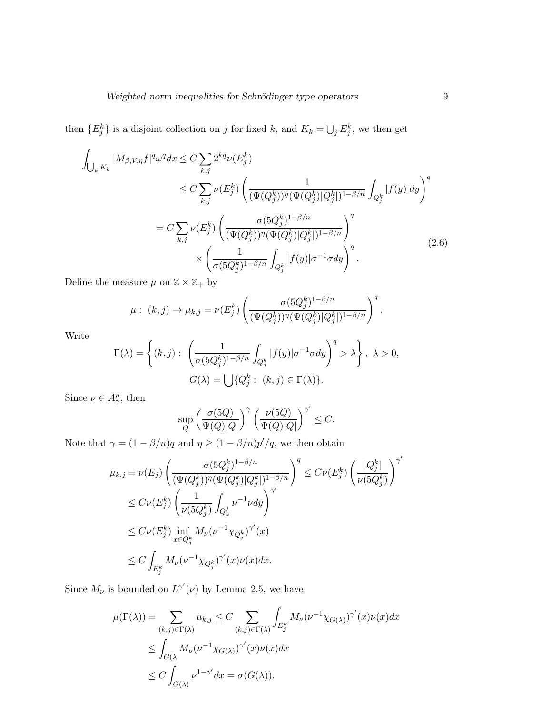then  $\{E_j^k\}$  is a disjoint collection on j for fixed k, and  $K_k = \bigcup_j E_j^k$ , we then get

$$
\int_{\bigcup_{k} K_{k}} |M_{\beta, V, \eta} f|^{q} \omega^{q} dx \le C \sum_{k,j} 2^{kq} \nu(E_{j}^{k})
$$
\n
$$
\le C \sum_{k,j} \nu(E_{j}^{k}) \left( \frac{1}{(\Psi(Q_{j}^{k}))^{\eta} (\Psi(Q_{j}^{k}) | Q_{j}^{k}|)^{1-\beta/n}} \int_{Q_{j}^{k}} |f(y)| dy \right)^{q}
$$
\n
$$
= C \sum_{k,j} \nu(E_{j}^{k}) \left( \frac{\sigma(5Q_{j}^{k})^{1-\beta/n}}{(\Psi(Q_{j}^{k}))^{\eta} (\Psi(Q_{j}^{k}) | Q_{j}^{k}|)^{1-\beta/n}} \right)^{q}
$$
\n
$$
\times \left( \frac{1}{\sigma(5Q_{j}^{k})^{1-\beta/n}} \int_{Q_{j}^{k}} |f(y)| \sigma^{-1} \sigma dy \right)^{q}.
$$
\n(2.6)

Define the measure  $\mu$  on  $\mathbb{Z}\times \mathbb{Z}_+$  by

$$
\mu: (k,j) \to \mu_{k,j} = \nu(E_j^k) \left( \frac{\sigma(5Q_j^k)^{1-\beta/n}}{(\Psi(Q_j^k))^{\eta}(\Psi(Q_j^k)|Q_j^k|)^{1-\beta/n}} \right)^q.
$$

Write

$$
\Gamma(\lambda) = \left\{ (k, j) : \left( \frac{1}{\sigma(5Q_j^k)^{1-\beta/n}} \int_{Q_j^k} |f(y)| \sigma^{-1} \sigma dy \right)^q > \lambda \right\}, \ \lambda > 0,
$$
  

$$
G(\lambda) = \bigcup \{ Q_j^k : (k, j) \in \Gamma(\lambda) \}.
$$

Since  $\nu \in A_{\gamma}^{\rho}$ , then

$$
\sup_Q \left(\frac{\sigma(5Q)}{\Psi(Q)|Q|}\right)^\gamma \left(\frac{\nu(5Q)}{\Psi(Q)|Q|}\right)^{\gamma'}\leq C.
$$

Note that  $\gamma = (1 - \beta/n)q$  and  $\eta \ge (1 - \beta/n)p'/q$ , we then obtain

$$
\mu_{k,j} = \nu(E_j) \left( \frac{\sigma (5Q_j^k)^{1-\beta/n}}{(\Psi(Q_j^k))^{\eta} (\Psi(Q_j^k)|Q_j^k|)^{1-\beta/n}} \right)^q \leq C \nu(E_j^k) \left( \frac{|Q_j^k|}{\nu (5Q_j^k)} \right)^{\gamma'}
$$
  
\n
$$
\leq C \nu(E_j^k) \left( \frac{1}{\nu (5Q_j^k)} \int_{Q_k^j} \nu^{-1} \nu dy \right)^{\gamma'}
$$
  
\n
$$
\leq C \nu(E_j^k) \inf_{x \in Q_j^k} M_{\nu} (\nu^{-1} \chi_{Q_j^k})^{\gamma'}(x)
$$
  
\n
$$
\leq C \int_{E_j^k} M_{\nu} (\nu^{-1} \chi_{Q_j^k})^{\gamma'}(x) \nu(x) dx.
$$

Since  $M_{\nu}$  is bounded on  $L^{\gamma'}(\nu)$  by Lemma 2.5, we have

$$
\mu(\Gamma(\lambda)) = \sum_{(k,j)\in\Gamma(\lambda)} \mu_{k,j} \le C \sum_{(k,j)\in\Gamma(\lambda)} \int_{E_j^k} M_{\nu}(\nu^{-1}\chi_{G(\lambda)})^{\gamma'}(x)\nu(x)dx
$$
  
\n
$$
\le \int_{G(\lambda)} M_{\nu}(\nu^{-1}\chi_{G(\lambda)})^{\gamma'}(x)\nu(x)dx
$$
  
\n
$$
\le C \int_{G(\lambda)} \nu^{1-\gamma'}dx = \sigma(G(\lambda)).
$$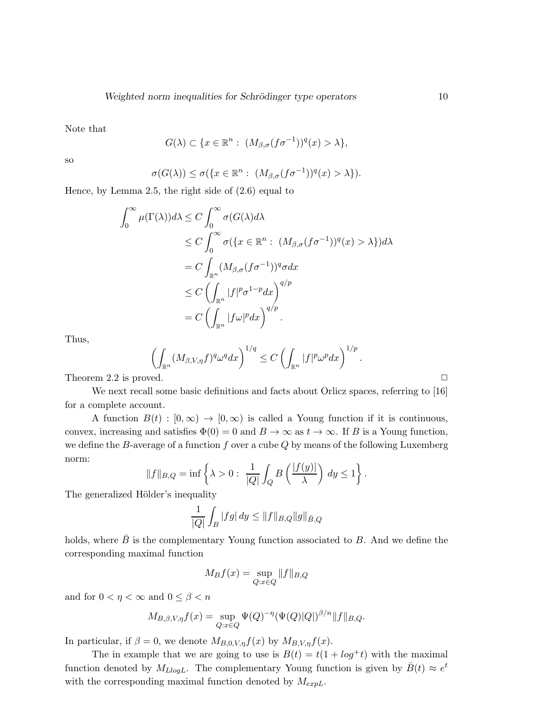Note that

$$
G(\lambda) \subset \{x \in \mathbb{R}^n : (M_{\beta,\sigma}(f\sigma^{-1}))^q(x) > \lambda\},\
$$

so

$$
\sigma(G(\lambda)) \leq \sigma(\{x \in \mathbb{R}^n : (M_{\beta,\sigma}(f\sigma^{-1}))^q(x) > \lambda\}).
$$

Hence, by Lemma 2.5, the right side of (2.6) equal to

$$
\int_0^\infty \mu(\Gamma(\lambda))d\lambda \le C \int_0^\infty \sigma(G(\lambda)d\lambda
$$
  
\n
$$
\le C \int_0^\infty \sigma(\{x \in \mathbb{R}^n : (M_{\beta,\sigma}(f\sigma^{-1}))^q(x) > \lambda\})d\lambda
$$
  
\n
$$
= C \int_{\mathbb{R}^n} (M_{\beta,\sigma}(f\sigma^{-1}))^q \sigma dx
$$
  
\n
$$
\le C \left( \int_{\mathbb{R}^n} |f|^p \sigma^{1-p} dx \right)^{q/p}
$$
  
\n
$$
= C \left( \int_{\mathbb{R}^n} |f\omega|^p dx \right)^{q/p}.
$$

Thus,

$$
\left(\int_{\mathbb{R}^n} (M_{\beta,V,\eta}f)^q \omega^q dx\right)^{1/q} \leq C \left(\int_{\mathbb{R}^n} |f|^p \omega^p dx\right)^{1/p}.
$$

Theorem 2.2 is proved.  $\Box$ 

We next recall some basic definitions and facts about Orlicz spaces, referring to [16] for a complete account.

A function  $B(t) : [0, \infty) \to [0, \infty)$  is called a Young function if it is continuous, convex, increasing and satisfies  $\Phi(0) = 0$  and  $B \to \infty$  as  $t \to \infty$ . If B is a Young function, we define the B-average of a function f over a cube  $Q$  by means of the following Luxemberg norm:

$$
||f||_{B,Q} = \inf \left\{ \lambda > 0 : \frac{1}{|Q|} \int_Q B\left(\frac{|f(y)|}{\lambda}\right) dy \le 1 \right\}.
$$

The generalized Hölder's inequality

$$
\frac{1}{|Q|} \int_B |fg| \, dy \le \|f\|_{B,Q} \|g\|_{\bar{B},Q}
$$

holds, where  $\bar{B}$  is the complementary Young function associated to B. And we define the corresponding maximal function

$$
M_B f(x) = \sup_{Q:x \in Q} ||f||_{B,Q}
$$

and for  $0 < \eta < \infty$  and  $0 \leq \beta < n$ 

$$
M_{B,\beta,V,\eta}f(x) = \sup_{Q:x\in Q} \Psi(Q)^{-\eta} (\Psi(Q)|Q|)^{\beta/n} ||f||_{B,Q}.
$$

In particular, if  $\beta = 0$ , we denote  $M_{B,0,V,\eta}f(x)$  by  $M_{B,V,\eta}f(x)$ .

The in example that we are going to use is  $B(t) = t(1 + log<sup>+</sup> t)$  with the maximal function denoted by  $M_{LlogL}$ . The complementary Young function is given by  $\bar{B}(t) \approx e^t$ with the corresponding maximal function denoted by  $M_{expL}$ .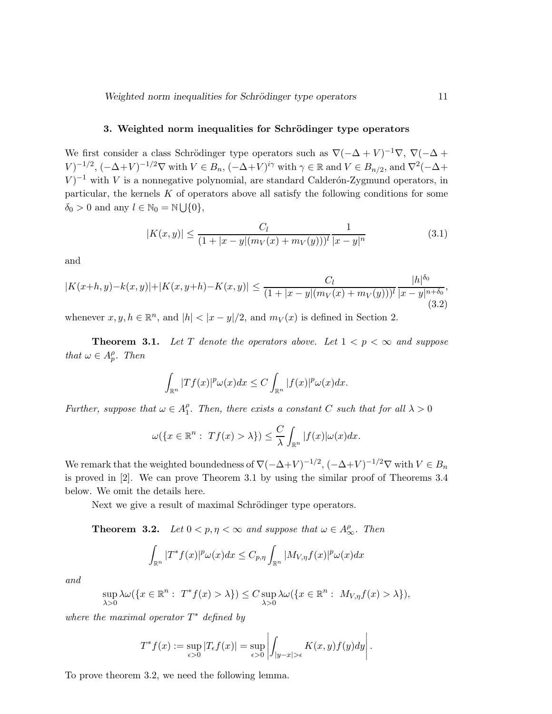#### 3. Weighted norm inequalities for Schrödinger type operators

We first consider a class Schrödinger type operators such as  $\nabla(-\Delta + V)^{-1}\nabla$ ,  $\nabla(-\Delta + V)$  $(V)^{-1/2}$ ,  $(-\Delta+V)^{-1/2}\nabla$  with  $V \in B_n$ ,  $(-\Delta+V)^{i\gamma}$  with  $\gamma \in \mathbb{R}$  and  $V \in B_{n/2}$ , and  $\nabla^2(-\Delta + V)^{-1/2}\nabla$  $V$ <sup>-1</sup> with V is a nonnegative polynomial, are standard Calderón-Zygmund operators, in particular, the kernels K of operators above all satisfy the following conditions for some  $\delta_0 > 0$  and any  $l \in \mathbb{N}_0 = \mathbb{N} \bigcup \{0\},\$ 

$$
|K(x,y)| \le \frac{C_l}{(1+|x-y|(m_V(x)+m_V(y)))^l} \frac{1}{|x-y|^n}
$$
\n(3.1)

and

$$
|K(x+h,y)-k(x,y)|+|K(x,y+h)-K(x,y)| \le \frac{C_l}{(1+|x-y|(m_V(x)+m_V(y)))^l} \frac{|h|^{\delta_0}}{|x-y|^{n+\delta_0}},
$$
\n(3.2)

whenever  $x, y, h \in \mathbb{R}^n$ , and  $|h| < |x - y|/2$ , and  $m_V(x)$  is defined in Section 2.

**Theorem 3.1.** Let T denote the operators above. Let  $1 < p < \infty$  and suppose *that*  $\omega \in A_p^{\rho}$ *. Then* 

$$
\int_{\mathbb{R}^n} |Tf(x)|^p \omega(x) dx \leq C \int_{\mathbb{R}^n} |f(x)|^p \omega(x) dx.
$$

*Further, suppose that*  $\omega \in A_1^{\rho}$  $I_1^{\rho}$ . Then, there exists a constant C such that for all  $\lambda > 0$ 

$$
\omega(\lbrace x \in \mathbb{R}^n : Tf(x) > \lambda \rbrace) \leq \frac{C}{\lambda} \int_{\mathbb{R}^n} |f(x)| \omega(x) dx.
$$

We remark that the weighted boundedness of  $\nabla(-\Delta+V)^{-1/2}$ ,  $(-\Delta+V)^{-1/2}\nabla$  with  $V \in B_n$ is proved in [2]. We can prove Theorem 3.1 by using the similar proof of Theorems 3.4 below. We omit the details here.

Next we give a result of maximal Schrödinger type operators.

**Theorem 3.2.** *Let*  $0 < p, \eta < \infty$  *and suppose that*  $\omega \in A^{\rho}_{\infty}$ *. Then* 

$$
\int_{\mathbb{R}^n} |T^*f(x)|^p \omega(x) dx \leq C_{p,\eta} \int_{\mathbb{R}^n} |M_{V,\eta}f(x)|^p \omega(x) dx
$$

*and*

$$
\sup_{\lambda>0} \lambda \omega(\lbrace x \in \mathbb{R}^n : T^*f(x) > \lambda \rbrace) \leq C \sup_{\lambda>0} \lambda \omega(\lbrace x \in \mathbb{R}^n : M_{V,\eta}f(x) > \lambda \rbrace),
$$

*where the maximal operator* T <sup>∗</sup> *defined by*

$$
T^*f(x):=\sup_{\epsilon>0}|T_{\epsilon}f(x)|=\sup_{\epsilon>0}\left|\int_{|y-x|>\epsilon}K(x,y)f(y)dy\right|.
$$

To prove theorem 3.2, we need the following lemma.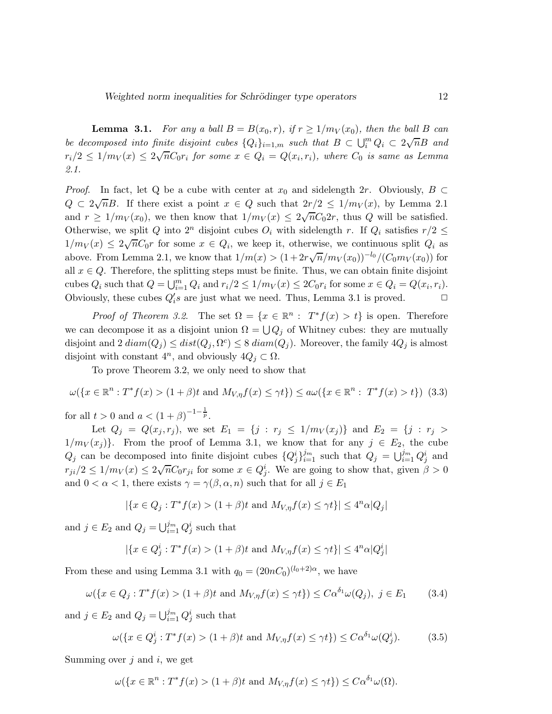**Lemma 3.1.** For any a ball  $B = B(x_0, r)$ , if  $r \ge 1/m_V(x_0)$ , then the ball B can *be decomposed into finite disjoint cubes*  ${Q_i}_{i=1,m}$  *such that*  $B \subset \bigcup_i^m Q_i \subset 2\sqrt{n}B$  *and*  $r_i/2 \leq 1/m_V(x) \leq 2\sqrt{n}C_0r_i$  for some  $x \in Q_i = Q(x_i, r_i)$ , where  $C_0$  is same as Lemma *2.1.*

*Proof.* In fact, let Q be a cube with center at  $x_0$  and sidelength 2r. Obviously,  $B \subset$  $Q \subset 2\sqrt{n}B$ . If there exist a point  $x \in Q$  such that  $2r/2 \leq 1/m_V(x)$ , by Lemma 2.1 and  $r \geq 1/m_V(x_0)$ , we then know that  $1/m_V(x) \leq 2\sqrt{n}C_02r$ , thus Q will be satisfied. Otherwise, we split Q into  $2^n$  disjoint cubes  $O_i$  with sidelength r. If  $Q_i$  satisfies  $r/2 \leq$  $1/m_V(x) \leq 2\sqrt{n}C_0r$  for some  $x \in Q_i$ , we keep it, otherwise, we continuous split  $Q_i$  as above. From Lemma 2.1, we know that  $1/m(x) > (1+2r\sqrt{n}/m_V(x_0))^{-l_0}/(C_0m_V(x_0))$  for all  $x \in Q$ . Therefore, the splitting steps must be finite. Thus, we can obtain finite disjoint cubes  $Q_i$  such that  $Q = \bigcup_{i=1}^m Q_i$  and  $r_i/2 \leq 1/m_V(x) \leq 2C_0r_i$  for some  $x \in Q_i = Q(x_i, r_i)$ . Obviously, these cubes  $Q_i$ 's are just what we need. Thus, Lemma 3.1 is proved.  $\Box$ 

*Proof of Theorem 3.2*. The set  $\Omega = \{x \in \mathbb{R}^n : T^*f(x) > t\}$  is open. Therefore we can decompose it as a disjoint union  $\Omega = \bigcup Q_j$  of Whitney cubes: they are mutually disjoint and 2  $diam(Q_j) \leq dist(Q_j, \Omega^c) \leq 8 \ diam(Q_j)$ . Moreover, the family  $4Q_j$  is almost disjoint with constant  $4^n$ , and obviously  $4Q_j \subset \Omega$ .

To prove Theorem 3.2, we only need to show that

$$
\omega(\{x \in \mathbb{R}^n : T^*f(x) > (1+\beta)t \text{ and } M_{V,\eta}f(x) \le \gamma t\}) \le a\omega(\{x \in \mathbb{R}^n : T^*f(x) > t\})
$$
(3.3)

for all  $t > 0$  and  $a < (1 + \beta)^{-1-\frac{1}{p}}$ .

Let  $Q_j = Q(x_j, r_j)$ , we set  $E_1 = \{j : r_j \leq 1/m_V(x_j)\}\$  and  $E_2 = \{j : r_j >$  $1/m_V(x_j)$ . From the proof of Lemma 3.1, we know that for any  $j \in E_2$ , the cube  $Q_j$  can be decomposed into finite disjoint cubes  $\{Q_j^i\}_{i=1}^{j_m}$  such that  $Q_j = \bigcup_{i=1}^{j_m} Q_j^i$  and  $r_{ji}/2 \leq 1/m_V(x) \leq 2\sqrt{n}C_0r_{ji}$  for some  $x \in Q_j^i$ . We are going to show that, given  $\beta > 0$ and  $0 < \alpha < 1$ , there exists  $\gamma = \gamma(\beta, \alpha, n)$  such that for all  $j \in E_1$ 

$$
|\{x \in Q_j : T^*f(x) > (1+\beta)t \text{ and } M_{V,\eta}f(x) \le \gamma t\}| \le 4^n \alpha |Q_j|
$$

and  $j \in E_2$  and  $Q_j = \bigcup_{i=1}^{j_m} Q_j^i$  such that

$$
|\{x \in Q_j^i : T^*f(x) > (1+\beta)t \text{ and } M_{V,\eta}f(x) \leq \gamma t\}| \leq 4^n \alpha |Q_j^i|
$$

From these and using Lemma 3.1 with  $q_0 = (20nC_0)^{(l_0+2)\alpha}$ , we have

$$
\omega(\lbrace x \in Q_j : T^*f(x) > (1+\beta)t \text{ and } M_{V,\eta}f(x) \le \gamma t \rbrace) \le C\alpha^{\delta_1}\omega(Q_j), \ j \in E_1 \tag{3.4}
$$

and  $j \in E_2$  and  $Q_j = \bigcup_{i=1}^{j_m} Q_j^i$  such that

$$
\omega(\lbrace x \in Q_j^i : T^* f(x) > (1+\beta)t \text{ and } M_{V,\eta} f(x) \le \gamma t \rbrace) \le C\alpha^{\delta_1} \omega(Q_j^i). \tag{3.5}
$$

Summing over  $j$  and  $i$ , we get

$$
\omega(\lbrace x \in \mathbb{R}^n : T^* f(x) > (1+\beta)t \text{ and } M_{V,\eta} f(x) \leq \gamma t \rbrace) \leq C\alpha^{\delta_1} \omega(\Omega).
$$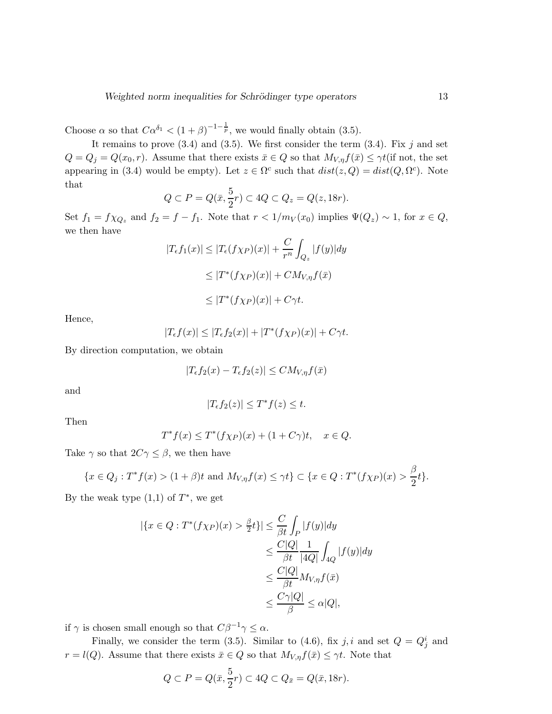Choose  $\alpha$  so that  $C\alpha^{\delta_1} < (1+\beta)^{-1-\frac{1}{p}}$ , we would finally obtain (3.5).

It remains to prove  $(3.4)$  and  $(3.5)$ . We first consider the term  $(3.4)$ . Fix j and set  $Q = Q_j = Q(x_0, r)$ . Assume that there exists  $\bar{x} \in Q$  so that  $M_{V, \eta} f(\bar{x}) \leq \gamma t$  (if not, the set appearing in (3.4) would be empty). Let  $z \in \Omega^c$  such that  $dist(z, Q) = dist(Q, \Omega^c)$ . Note that

$$
Q \subset P = Q(\bar{x}, \frac{5}{2}r) \subset 4Q \subset Q_z = Q(z, 18r).
$$

Set  $f_1 = f \chi_{Q_z}$  and  $f_2 = f - f_1$ . Note that  $r < 1/m_V(x_0)$  implies  $\Psi(Q_z) \sim 1$ , for  $x \in Q$ , we then have

$$
|T_{\epsilon}f_1(x)| \le |T_{\epsilon}(f\chi_P)(x)| + \frac{C}{r^n} \int_{Q_z} |f(y)| dy
$$
  
\n
$$
\le |T^*(f\chi_P)(x)| + CM_{V,\eta}f(\bar{x})
$$
  
\n
$$
\le |T^*(f\chi_P)(x)| + C\gamma t.
$$

Hence,

$$
|T_{\epsilon}f(x)| \leq |T_{\epsilon}f_2(x)| + |T^*(f\chi_P)(x)| + C\gamma t.
$$

By direction computation, we obtain

$$
|T_{\epsilon}f_2(x) - T_{\epsilon}f_2(z)| \leq CM_{V,\eta}f(\bar{x})
$$

and

$$
|T_{\epsilon}f_2(z)| \le T^*f(z) \le t.
$$

Then

$$
T^*f(x) \le T^*(f\chi_P)(x) + (1 + C\gamma)t, \quad x \in Q.
$$

Take  $\gamma$  so that  $2C\gamma \leq \beta$ , we then have

$$
\{x \in Q_j : T^*f(x) > (1+\beta)t \text{ and } M_{V,\eta}f(x) \le \gamma t\} \subset \{x \in Q : T^*(f\chi_P)(x) > \frac{\beta}{2}t\}.
$$

By the weak type  $(1,1)$  of  $T^*$ , we get

$$
\begin{aligned} |\{x \in Q : T^*(f\chi_P)(x) &> \frac{\beta}{2}t\}| \le \frac{C}{\beta t} \int_P |f(y)| dy \\ &\le \frac{C|Q|}{\beta t} \frac{1}{|4Q|} \int_{4Q} |f(y)| dy \\ &\le \frac{C|Q|}{\beta t} M_{V,\eta} f(\bar{x}) \\ &\le \frac{C\gamma|Q|}{\beta} \le \alpha|Q|, \end{aligned}
$$

if  $\gamma$  is chosen small enough so that  $C\beta^{-1}\gamma \leq \alpha$ .

Finally, we consider the term (3.5). Similar to (4.6), fix j, i and set  $Q = Q_j^i$  and  $r = l(Q)$ . Assume that there exists  $\bar{x} \in Q$  so that  $M_{V,\eta} f(\bar{x}) \leq \gamma t$ . Note that

$$
Q \subset P = Q(\bar{x}, \frac{5}{2}r) \subset 4Q \subset Q_{\bar{x}} = Q(\bar{x}, 18r).
$$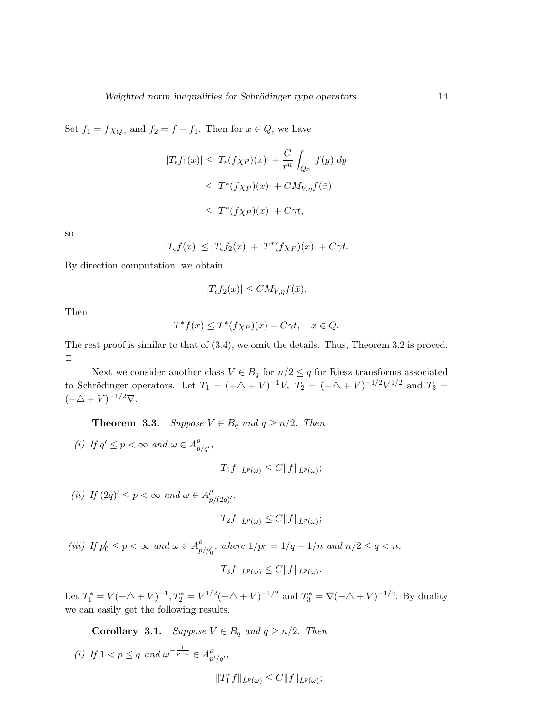Set  $f_1 = f \chi_{Q_{\bar{x}}}$  and  $f_2 = f - f_1$ . Then for  $x \in Q$ , we have

$$
|T_{\epsilon}f_1(x)| \le |T_{\epsilon}(f\chi_P)(x)| + \frac{C}{r^n} \int_{Q_{\bar{x}}} |f(y)| dy
$$
  
\n
$$
\le |T^*(f\chi_P)(x)| + CM_{V,\eta}f(\bar{x})
$$
  
\n
$$
\le |T^*(f\chi_P)(x)| + C\gamma t,
$$

so

$$
|T_{\epsilon}f(x)| \leq |T_{\epsilon}f_2(x)| + |T^*(f\chi_P)(x)| + C\gamma t.
$$

By direction computation, we obtain

$$
|T_{\epsilon}f_2(x)| \le CM_{V,\eta}f(\bar{x}).
$$

Then

$$
T^*f(x) \le T^*(f\chi_P)(x) + C\gamma t, \quad x \in Q.
$$

The rest proof is similar to that of  $(3.4)$ , we omit the details. Thus, Theorem 3.2 is proved.  $\Box$ 

Next we consider another class  $V \in B_q$  for  $n/2 \leq q$  for Riesz transforms associated to Schrödinger operators. Let  $T_1 = (-\Delta + V)^{-1}V$ ,  $T_2 = (-\Delta + V)^{-1/2}V^{1/2}$  and  $T_3 =$  $(-\Delta + V)^{-1/2}\nabla$ .

**Theorem 3.3.** *Suppose*  $V \in B_q$  *and*  $q \ge n/2$ *. Then* 

(*i*) If  $q' \leq p < \infty$  and  $\omega \in A_{p/q'}^{\rho}$ ,

$$
||T_1f||_{L^p(\omega)} \leq C||f||_{L^p(\omega)};
$$

(*ii*) If  $(2q)' \leq p < \infty$  and  $\omega \in A_p^{\rho}$ *p*<br>p/(2q)′ '

$$
||T_2f||_{L^p(\omega)} \leq C||f||_{L^p(\omega)};
$$

(*iii*) If  $p'_0 \le p < \infty$  and  $\omega \in A_{p/p'_0}^{\rho}$ , where  $1/p_0 = 1/q - 1/n$  and  $n/2 \le q < n$ ,  $||T_3f||_{L^p(\omega)} \leq C||f||_{L^p(\omega)}.$ 

Let  $T_1^* = V(-\triangle + V)^{-1}$ ,  $T_2^* = V^{1/2}(-\triangle + V)^{-1/2}$  and  $T_3^* = \nabla(-\triangle + V)^{-1/2}$ . By duality we can easily get the following results.

**Corollary 3.1.** *Suppose*  $V \in B_q$  *and*  $q \geq n/2$ *. Then* 

(i) If 
$$
1 < p \le q
$$
 and  $\omega^{-\frac{1}{p-1}} \in A_{p'/q'}^{\rho}$ ,  
 $||T_1^* f||_{L^p(\omega)} \le C ||f||_{L^p(\omega)};$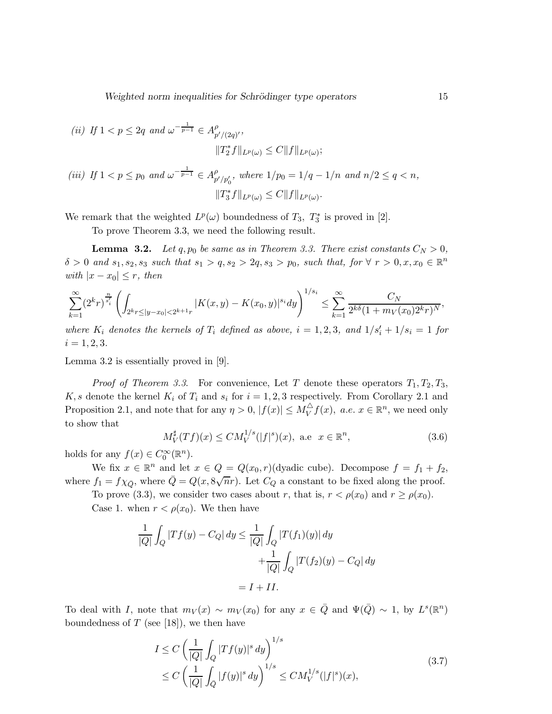Weighted norm inequalities for Schrödinger type operators 15

(ii) If 
$$
1 < p \le 2q
$$
 and  $\omega^{-\frac{1}{p-1}} \in A_{p'/(2q)'}^{\rho}$ ,  
\n
$$
||T_2^* f||_{L^p(\omega)} \le C||f||_{L^p(\omega)};
$$
\n(iii) If  $1 < p \le p_0$  and  $\omega^{-\frac{1}{p-1}} \in A_{p'/p'_0}^{\rho}$ , where  $1/p_0 = 1/q - 1/n$  and  $n/2 \le q < n$ ,  
\n
$$
||T_3^* f||_{L^p(\omega)} \le C||f||_{L^p(\omega)}.
$$

We remark that the weighted  $L^p(\omega)$  boundedness of  $T_3$ ,  $T_3^*$  is proved in [2].

To prove Theorem 3.3, we need the following result.

**Lemma 3.2.** *Let*  $q, p_0$  *be same as in Theorem 3.3. There exist constants*  $C_N > 0$ *,*  $\delta > 0$  and  $s_1, s_2, s_3$  such that  $s_1 > q, s_2 > 2q, s_3 > p_0$ , such that, for  $\forall r > 0, x, x_0 \in \mathbb{R}^n$ *with*  $|x - x_0| \leq r$ *, then* 

$$
\sum_{k=1}^{\infty} (2^k r)^{\frac{n}{s'_i}} \left( \int_{2^k r \le |y-x_0| < 2^{k+1} r} |K(x,y) - K(x_0,y)|^{s_i} dy \right)^{1/s_i} \le \sum_{k=1}^{\infty} \frac{C_N}{2^{k\delta} (1 + m_V(x_0) 2^k r)^N},
$$

*where*  $K_i$  *denotes the kernels of*  $T_i$  *defined as above,*  $i = 1, 2, 3$ *, and*  $1/s'_i + 1/s_i = 1$  *for*  $i = 1, 2, 3.$ 

Lemma 3.2 is essentially proved in [9].

*Proof of Theorem 3.3.* For convenience, Let T denote these operators  $T_1, T_2, T_3$ , K, s denote the kernel  $K_i$  of  $T_i$  and  $s_i$  for  $i = 1, 2, 3$  respectively. From Corollary 2.1 and Proposition 2.1, and note that for any  $\eta > 0$ ,  $|f(x)| \le M_V^{\triangle}$  $\bigvee_{V}^{L} f(x)$ , a.e.  $x \in \mathbb{R}^{n}$ , we need only to show that

$$
M_V^{\sharp}(Tf)(x) \le CM_V^{1/s}(|f|^s)(x)
$$
, a.e  $x \in \mathbb{R}^n$ , (3.6)

holds for any  $f(x) \in C_0^{\infty}(\mathbb{R}^n)$ .

We fix  $x \in \mathbb{R}^n$  and let  $x \in Q = Q(x_0, r)$  (dyadic cube). Decompose  $f = f_1 + f_2$ , where  $f_1 = f \chi_{\bar{Q}}$ , where  $\bar{Q} = Q(x, 8\sqrt{n}r)$ . Let  $C_Q$  a constant to be fixed along the proof.

To prove (3.3), we consider two cases about r, that is,  $r < \rho(x_0)$  and  $r \ge \rho(x_0)$ .

Case 1. when  $r < \rho(x_0)$ . We then have

$$
\frac{1}{|Q|} \int_Q |Tf(y) - C_Q| \, dy \le \frac{1}{|Q|} \int_Q |T(f_1)(y)| \, dy
$$

$$
+ \frac{1}{|Q|} \int_Q |T(f_2)(y) - C_Q| \, dy
$$

$$
= I + II.
$$

To deal with I, note that  $m_V(x) \sim m_V(x_0)$  for any  $x \in \overline{Q}$  and  $\Psi(\overline{Q}) \sim 1$ , by  $L^s(\mathbb{R}^n)$ boundedness of  $T$  (see [18]), we then have

$$
I \leq C \left( \frac{1}{|Q|} \int_Q |Tf(y)|^s \, dy \right)^{1/s} \\
\leq C \left( \frac{1}{|Q|} \int_{\bar{Q}} |f(y)|^s \, dy \right)^{1/s} \leq C M_V^{1/s} (|f|^s)(x),\n\tag{3.7}
$$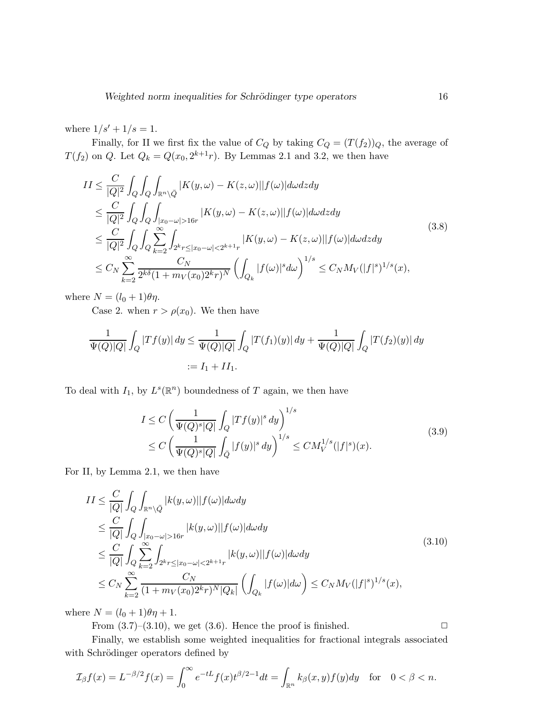where  $1/s' + 1/s = 1$ .

Finally, for II we first fix the value of  $C_Q$  by taking  $C_Q = (T(f_2))_Q$ , the average of  $T(f_2)$  on Q. Let  $Q_k = Q(x_0, 2^{k+1}r)$ . By Lemmas 2.1 and 3.2, we then have

$$
II \leq \frac{C}{|Q|^2} \int_Q \int_Q \int_{\mathbb{R}^n \setminus \bar{Q}} |K(y, \omega) - K(z, \omega)| |f(\omega)| d\omega dz dy
$$
  
\n
$$
\leq \frac{C}{|Q|^2} \int_Q \int_Q \int_{|x_0 - \omega| > 16r} |K(y, \omega) - K(z, \omega)| |f(\omega)| d\omega dz dy
$$
  
\n
$$
\leq \frac{C}{|Q|^2} \int_Q \int_Q \sum_{k=2}^\infty \int_{2^k r \leq |x_0 - \omega| < 2^{k+1}r} |K(y, \omega) - K(z, \omega)| |f(\omega)| d\omega dz dy
$$
  
\n
$$
\leq C_N \sum_{k=2}^\infty \frac{C_N}{2^{k\delta} (1 + m_V(x_0)2^k r)^N} \left( \int_{Q_k} |f(\omega)|^s d\omega \right)^{1/s} \leq C_N M_V (|f|^s)^{1/s} (x),
$$
\n(3.8)

where  $N = (l_0 + 1)\theta \eta$ .

Case 2. when  $r > \rho(x_0)$ . We then have

$$
\frac{1}{\Psi(Q)|Q|} \int_Q |Tf(y)| \, dy \le \frac{1}{\Psi(Q)|Q|} \int_Q |T(f_1)(y)| \, dy + \frac{1}{\Psi(Q)|Q|} \int_Q |T(f_2)(y)| \, dy
$$
\n
$$
:= I_1 + II_1.
$$

To deal with  $I_1$ , by  $L^s(\mathbb{R}^n)$  boundedness of T again, we then have

$$
I \leq C \left( \frac{1}{\Psi(Q)^s |Q|} \int_Q |T f(y)|^s \, dy \right)^{1/s} \\
\leq C \left( \frac{1}{\Psi(Q)^s |Q|} \int_{\bar{Q}} |f(y)|^s \, dy \right)^{1/s} \leq C M_V^{1/s} (|f|^s)(x).
$$
\n(3.9)

For II, by Lemma 2.1, we then have

$$
II \leq \frac{C}{|Q|} \int_{Q} \int_{\mathbb{R}^{n} \setminus \bar{Q}} |k(y,\omega)| |f(\omega)| d\omega dy
$$
  
\n
$$
\leq \frac{C}{|Q|} \int_{Q} \int_{|x_{0}-\omega|>16r} |k(y,\omega)| |f(\omega)| d\omega dy
$$
  
\n
$$
\leq \frac{C}{|Q|} \int_{Q} \sum_{k=2}^{\infty} \int_{2^{k}r \leq |x_{0}-\omega|<2^{k+1}r} |k(y,\omega)| |f(\omega)| d\omega dy
$$
  
\n
$$
\leq C_{N} \sum_{k=2}^{\infty} \frac{C_{N}}{(1+m_{V}(x_{0})2^{k}r)^{N} |Q_{k}|} \left( \int_{Q_{k}} |f(\omega)| d\omega \right) \leq C_{N} M_{V}(|f|^{s})^{1/s}(x),
$$
\n(3.10)

where  $N = (l_0 + 1)\theta \eta + 1$ .

From  $(3.7)$ – $(3.10)$ , we get  $(3.6)$ . Hence the proof is finished.  $\square$ 

Finally, we establish some weighted inequalities for fractional integrals associated with Schrödinger operators defined by

$$
\mathcal{I}_{\beta}f(x) = L^{-\beta/2}f(x) = \int_0^{\infty} e^{-tL} f(x) t^{\beta/2 - 1} dt = \int_{\mathbb{R}^n} k_{\beta}(x, y) f(y) dy \quad \text{for} \quad 0 < \beta < n.
$$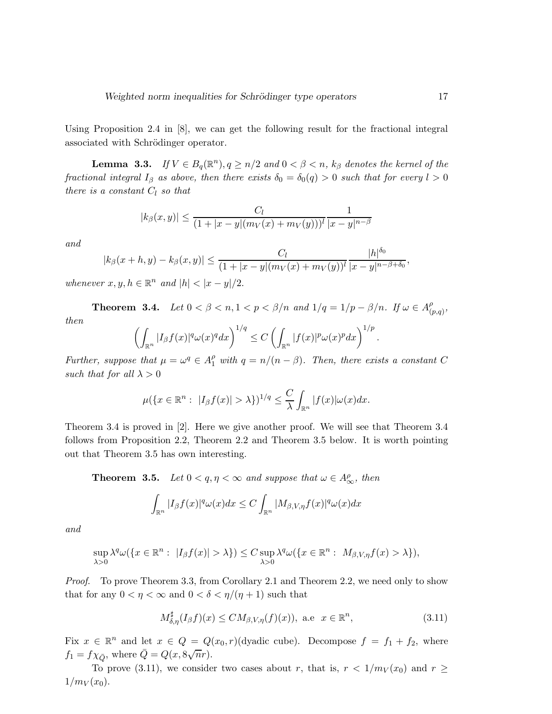Using Proposition 2.4 in [8], we can get the following result for the fractional integral associated with Schrödinger operator.

**Lemma 3.3.** *If*  $V \in B_q(\mathbb{R}^n)$ ,  $q \geq n/2$  *and*  $0 < \beta < n$ ,  $k_\beta$  *denotes the kernel of the fractional integral*  $I_\beta$  *as above, then there exists*  $\delta_0 = \delta_0(q) > 0$  *such that for every*  $l > 0$ *there is a constant*  $C_l$  *so that* 

$$
|k_{\beta}(x,y)| \le \frac{C_l}{(1+|x-y|(m_V(x)+m_V(y)))^l} \frac{1}{|x-y|^{n-\beta}}
$$

*and*

$$
|k_{\beta}(x+h,y)-k_{\beta}(x,y)| \leq \frac{C_l}{(1+|x-y|(m_V(x)+m_V(y))^l}\frac{|h|^{\delta_0}}{|x-y|^{n-\beta+\delta_0}},
$$

*whenever*  $x, y, h \in \mathbb{R}^n$  *and*  $|h| < |x - y|/2$ .

**Theorem 3.4.** *Let*  $0 < \beta < n, 1 < p < \beta/n$  *and*  $1/q = 1/p - \beta/n$ *. If*  $\omega \in A_{(i)}^{\rho}$ (p,q) *, then*

$$
\left(\int_{\mathbb{R}^n} |I_{\beta}f(x)|^q \omega(x)^q dx\right)^{1/q} \leq C \left(\int_{\mathbb{R}^n} |f(x)|^p \omega(x)^p dx\right)^{1/p}.
$$

*Further, suppose that*  $\mu = \omega^q \in A_1^{\rho}$  *with*  $q = n/(n - \beta)$ *. Then, there exists a constant* C *such that for all*  $\lambda > 0$ 

$$
\mu(\lbrace x \in \mathbb{R}^n : \ |I_{\beta}f(x)| > \lambda \rbrace)^{1/q} \leq \frac{C}{\lambda} \int_{\mathbb{R}^n} |f(x)| \omega(x) dx.
$$

Theorem 3.4 is proved in [2]. Here we give another proof. We will see that Theorem 3.4 follows from Proposition 2.2, Theorem 2.2 and Theorem 3.5 below. It is worth pointing out that Theorem 3.5 has own interesting.

**Theorem 3.5.** *Let*  $0 < q, \eta < \infty$  *and suppose that*  $\omega \in A^{\rho}_{\infty}$ *, then* 

$$
\int_{\mathbb{R}^n} |I_{\beta}f(x)|^q \omega(x) dx \le C \int_{\mathbb{R}^n} |M_{\beta,V,\eta}f(x)|^q \omega(x) dx
$$

*and*

$$
\sup_{\lambda>0} \lambda^q \omega(\{x \in \mathbb{R}^n : |I_{\beta}f(x)| > \lambda\}) \leq C \sup_{\lambda>0} \lambda^q \omega(\{x \in \mathbb{R}^n : M_{\beta,V,\eta}f(x) > \lambda\}),
$$

*Proof.* To prove Theorem 3.3, from Corollary 2.1 and Theorem 2.2, we need only to show that for any  $0 < \eta < \infty$  and  $0 < \delta < \eta/(\eta + 1)$  such that

$$
M_{\delta,\eta}^{\sharp}(I_{\beta}f)(x) \le CM_{\beta,V,\eta}(f)(x)), \text{ a.e } x \in \mathbb{R}^{n}, \tag{3.11}
$$

Fix  $x \in \mathbb{R}^n$  and let  $x \in Q = Q(x_0, r)$  (dyadic cube). Decompose  $f = f_1 + f_2$ , where  $f_1 = f\chi_{\bar{Q}}$ , where  $\bar{Q} = Q(x, 8\sqrt{n}r)$ .

To prove (3.11), we consider two cases about r, that is,  $r < 1/m_V(x_0)$  and  $r \ge$  $1/m_V(x_0)$ .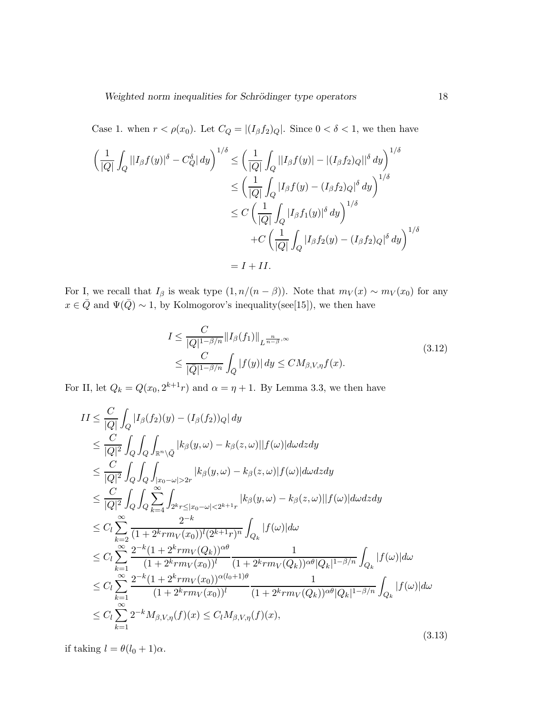Case 1. when  $r < \rho(x_0)$ . Let  $C_Q = |(I_\beta f_2)_Q|$ . Since  $0 < \delta < 1$ , we then have

$$
\left(\frac{1}{|Q|}\int_{Q}||I_{\beta}f(y)|^{\delta} - C_{Q}^{\delta}| dy\right)^{1/\delta} \le \left(\frac{1}{|Q|}\int_{Q}||I_{\beta}f(y)| - |(I_{\beta}f_2)_{Q}||^{\delta} dy\right)^{1/\delta}
$$
  
\n
$$
\le \left(\frac{1}{|Q|}\int_{Q}|I_{\beta}f(y) - (I_{\beta}f_2)_{Q}|^{\delta} dy\right)^{1/\delta}
$$
  
\n
$$
\le C\left(\frac{1}{|Q|}\int_{Q}|I_{\beta}f_1(y)|^{\delta} dy\right)^{1/\delta}
$$
  
\n
$$
+ C\left(\frac{1}{|Q|}\int_{Q}|I_{\beta}f_2(y) - (I_{\beta}f_2)_{Q}|^{\delta} dy\right)^{1/\delta}
$$
  
\n
$$
= I + II.
$$

For I, we recall that  $I_\beta$  is weak type  $(1, n/(n - \beta))$ . Note that  $m_V(x) \sim m_V(x_0)$  for any  $x \in \overline{Q}$  and  $\Psi(\overline{Q}) \sim 1$ , by Kolmogorov's inequality(see[15]), we then have

$$
I \leq \frac{C}{|Q|^{1-\beta/n}} \|I_{\beta}(f_1)\|_{L^{\frac{n}{n-\beta},\infty}}
$$
  

$$
\leq \frac{C}{|\overline{Q}|^{1-\beta/n}} \int_{\overline{Q}} |f(y)| dy \leq CM_{\beta,V,\eta} f(x).
$$
 (3.12)

For II, let  $Q_k = Q(x_0, 2^{k+1}r)$  and  $\alpha = \eta + 1$ . By Lemma 3.3, we then have

$$
II \leq \frac{C}{|Q|} \int_{Q} |I_{\beta}(f_{2})(y) - (I_{\beta}(f_{2}))_{Q}| dy
$$
  
\n
$$
\leq \frac{C}{|Q|^{2}} \int_{Q} \int_{Q} \int_{\mathbb{R}^{n} \setminus \bar{Q}} |k_{\beta}(y, \omega) - k_{\beta}(z, \omega)||f(\omega)| d\omega dz dy
$$
  
\n
$$
\leq \frac{C}{|Q|^{2}} \int_{Q} \int_{Q} \int_{|x_{0} - \omega| > 2r} |k_{\beta}(y, \omega) - k_{\beta}(z, \omega)|f(\omega)| d\omega dz dy
$$
  
\n
$$
\leq \frac{C}{|Q|^{2}} \int_{Q} \int_{Q} \sum_{k=4}^{\infty} \int_{2^{k}r \leq |x_{0} - \omega| < 2^{k+1}r} |k_{\beta}(y, \omega) - k_{\beta}(z, \omega)||f(\omega)| d\omega dz dy
$$
  
\n
$$
\leq C_{l} \sum_{k=2}^{\infty} \frac{2^{-k}}{(1 + 2^{k}rm_{V}(Q_{k}))^{2}} \frac{2^{-k}}{(1 + 2^{k}rm_{V}(Q_{k}))^{2\theta}} \frac{1}{(1 + 2^{k}rm_{V}(Q_{k}))^{\alpha\theta}|Q_{k}|^{1-\beta/n}} \int_{Q_{k}} |f(\omega)| d\omega
$$
  
\n
$$
\leq C_{l} \sum_{k=1}^{\infty} \frac{2^{-k}(1 + 2^{k}rm_{V}(x_{0}))^{2(l_{0} + 1)\theta}}{(1 + 2^{k}rm_{V}(Q_{k}))^{2(l_{0} + 1)\theta}} \frac{1}{(1 + 2^{k}rm_{V}(Q_{k}))^{\alpha\theta}|Q_{k}|^{1-\beta/n}} \int_{Q_{k}} |f(\omega)| d\omega
$$
  
\n
$$
\leq C_{l} \sum_{k=1}^{\infty} 2^{-k}M_{\beta, V, \eta}(f)(x) \leq C_{l}M_{\beta, V, \eta}(f)(x), \qquad (3.13)
$$

if taking  $l = \theta(l_0 + 1)\alpha$ .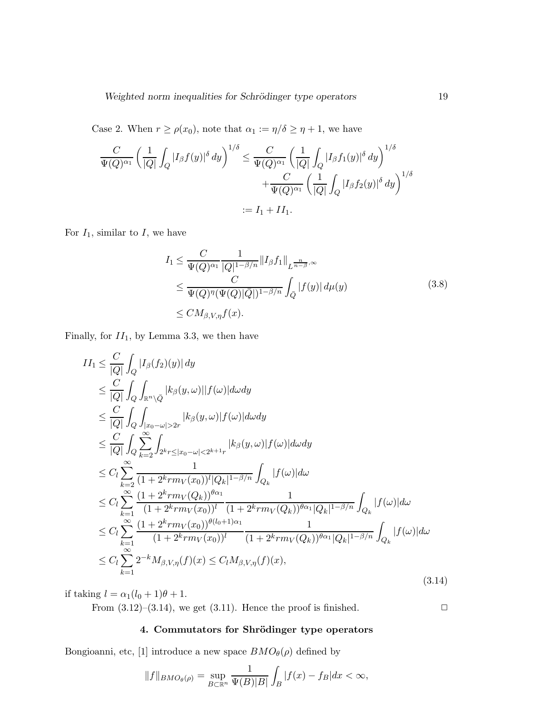Case 2. When  $r \ge \rho(x_0)$ , note that  $\alpha_1 := \eta/\delta \ge \eta + 1$ , we have

$$
\frac{C}{\Psi(Q)^{\alpha_1}} \left( \frac{1}{|Q|} \int_Q |I_\beta f(y)|^\delta dy \right)^{1/\delta} \le \frac{C}{\Psi(Q)^{\alpha_1}} \left( \frac{1}{|Q|} \int_Q |I_\beta f_1(y)|^\delta dy \right)^{1/\delta} \n+ \frac{C}{\Psi(Q)^{\alpha_1}} \left( \frac{1}{|Q|} \int_Q |I_\beta f_2(y)|^\delta dy \right)^{1/\delta} \n:= I_1 + II_1.
$$

For  $I_1$ , similar to  $I$ , we have

$$
I_1 \leq \frac{C}{\Psi(Q)^{\alpha_1}} \frac{1}{|Q|^{1-\beta/n}} \|I_{\beta} f_1\|_{L^{\frac{n}{n-\beta},\infty}}
$$
  
\n
$$
\leq \frac{C}{\Psi(Q)^{\eta}(\Psi(Q)|\bar{Q}|)^{1-\beta/n}} \int_{\bar{Q}} |f(y)| d\mu(y)
$$
  
\n
$$
\leq CM_{\beta,V,\eta} f(x).
$$
\n(3.8)

Finally, for  $II_1$ , by Lemma 3.3, we then have

$$
II_{1} \leq \frac{C}{|Q|} \int_{Q} |I_{\beta}(f_{2})(y)| dy
$$
  
\n
$$
\leq \frac{C}{|Q|} \int_{Q} \int_{\mathbb{R}^{n} \setminus \bar{Q}} |k_{\beta}(y,\omega)| |f(\omega)| d\omega dy
$$
  
\n
$$
\leq \frac{C}{|Q|} \int_{Q} \int_{|x_{0}-\omega|>2r} |k_{\beta}(y,\omega)| f(\omega)| d\omega dy
$$
  
\n
$$
\leq \frac{C}{|Q|} \int_{Q} \sum_{k=2}^{\infty} \int_{2^{k}r \leq |x_{0}-\omega|<2^{k+1}r} |k_{\beta}(y,\omega)| f(\omega)| d\omega dy
$$
  
\n
$$
\leq C_{l} \sum_{k=2}^{\infty} \frac{1}{(1 + 2^{k}rm_{V}(x_{0}))^{l} |Q_{k}|^{1-\beta/n}} \int_{Q_{k}} |f(\omega)| d\omega
$$
  
\n
$$
\leq C_{l} \sum_{k=1}^{\infty} \frac{(1 + 2^{k}rm_{V}(Q_{k}))^{\theta\alpha_{1}}}{(1 + 2^{k}rm_{V}(x_{0}))^{l}} \frac{1}{(1 + 2^{k}rm_{V}(Q_{k}))^{\theta\alpha_{1}} |Q_{k}|^{1-\beta/n}} \int_{Q_{k}} |f(\omega)| d\omega
$$
  
\n
$$
\leq C_{l} \sum_{k=1}^{\infty} \frac{(1 + 2^{k}rm_{V}(x_{0}))^{\theta(l_{0}+1)\alpha_{1}}}{(1 + 2^{k}rm_{V}(x_{0}))^{l}} \frac{1}{(1 + 2^{k}rm_{V}(Q_{k}))^{\theta\alpha_{1}} |Q_{k}|^{1-\beta/n}} \int_{Q_{k}} |f(\omega)| d\omega
$$
  
\n
$$
\leq C_{l} \sum_{k=1}^{\infty} 2^{-k} M_{\beta,V,\eta}(f)(x) \leq C_{l} M_{\beta,V,\eta}(f)(x), \qquad (3.14)
$$

if taking  $l = \alpha_1(l_0 + 1)\theta + 1$ .

From  $(3.12)$ – $(3.14)$ , we get  $(3.11)$ . Hence the proof is finished.  $\Box$ 

## 4. Commutators for Shrödinger type operators

Bongioanni, etc, [1] introduce a new space  $BMO_{\theta}(\rho)$  defined by

$$
||f||_{BMO_{\theta}(\rho)} = \sup_{B \subset \mathbb{R}^n} \frac{1}{\Psi(B)|B|} \int_B |f(x) - f_B| dx < \infty,
$$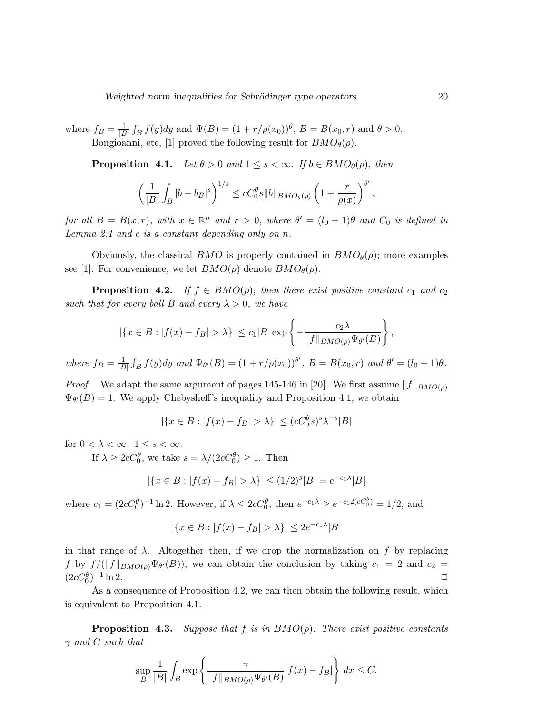where  $f_B = \frac{1}{|B|}$  $\frac{1}{|B|} \int_B f(y) dy$  and  $\Psi(B) = (1 + r/\rho(x_0))^{\theta}, B = B(x_0, r)$  and  $\theta > 0$ . Bongioanni, etc, [1] proved the following result for  $BMO_{\theta}(\rho)$ .

**Proposition 4.1.** *Let*  $\theta > 0$  *and*  $1 \leq s < \infty$ *. If*  $b \in BMO_{\theta}(\rho)$ *, then* 

$$
\left(\frac{1}{|B|}\int_B|b-b_B|^s\right)^{1/s}\leq cC_0^\theta s\|b\|_{BMO_\theta(\rho)}\left(1+\frac{r}{\rho(x)}\right)^{\theta'},
$$

*for all*  $B = B(x,r)$ *, with*  $x \in \mathbb{R}^n$  *and*  $r > 0$ *, where*  $\theta' = (l_0 + 1)\theta$  *and*  $C_0$  *is defined in Lemma 2.1 and* c *is a constant depending only on* n*.*

Obviously, the classical BMO is properly contained in  $BMO_{\theta}(\rho)$ ; more examples see [1]. For convenience, we let  $BMO(\rho)$  denote  $BMO_{\theta}(\rho)$ .

**Proposition 4.2.** *If*  $f \in BMO(\rho)$ *, then there exist positive constant*  $c_1$  *and*  $c_2$ *such that for every ball* B *and every*  $\lambda > 0$ *, we have* 

$$
|\{x \in B : |f(x) - f_B| > \lambda\}| \le c_1|B| \exp \left\{-\frac{c_2\lambda}{\|f\|_{BMO(\rho)}\Psi_{\theta'}(B)}\right\},\,
$$

*where*  $f_B = \frac{1}{|B|}$  $\frac{1}{|B|} \int_B f(y) dy$  and  $\Psi_{\theta'}(B) = (1 + r/\rho(x_0))^{\theta'}, B = B(x_0, r)$  and  $\theta' = (l_0 + 1)\theta$ .

*Proof.* We adapt the same argument of pages 145-146 in [20]. We first assume  $||f||_{BMO(\rho)}$  $\Psi_{\theta'}(B) = 1$ . We apply Chebysheff's inequality and Proposition 4.1, we obtain

$$
|\{x \in B : |f(x) - f_B| > \lambda\}| \le (cC_0^{\theta} s)^s \lambda^{-s} |B|
$$

for  $0 < \lambda < \infty$ ,  $1 \leq s < \infty$ .

If  $\lambda \geq 2cC_0^{\theta}$ , we take  $s = \lambda/(2cC_0^{\theta}) \geq 1$ . Then

$$
|\{x \in B : |f(x) - f_B| > \lambda\}| \le (1/2)^s |B| = e^{-c_1 \lambda} |B|
$$

where  $c_1 = (2cC_0^{\theta})^{-1} \ln 2$ . However, if  $\lambda \leq 2cC_0^{\theta}$ , then  $e^{-c_1\lambda} \geq e^{-c_1 2(cC_0^{\theta})} = 1/2$ , and

$$
|\{x \in B : |f(x) - f_B| > \lambda\}| \le 2e^{-c_1\lambda}|B|
$$

in that range of  $\lambda$ . Altogether then, if we drop the normalization on f by replacing f by  $f/(\|f\|_{BMO(\rho)}\Psi_{\theta'}(B))$ , we can obtain the conclusion by taking  $c_1 = 2$  and  $c_2 =$  $(2cC_0^{\theta})^{-1}$  $\ln 2$ .

As a consequence of Proposition 4.2, we can then obtain the following result, which is equivalent to Proposition 4.1.

**Proposition 4.3.** *Suppose that* f *is in*  $BMO(\rho)$ *. There exist positive constants* γ *and* C *such that*

$$
\sup_{B} \frac{1}{|B|} \int_{B} \exp \left\{ \frac{\gamma}{\|f\|_{BMO(\rho)} \Psi_{\theta'}(B)} |f(x) - f_B| \right\} dx \le C.
$$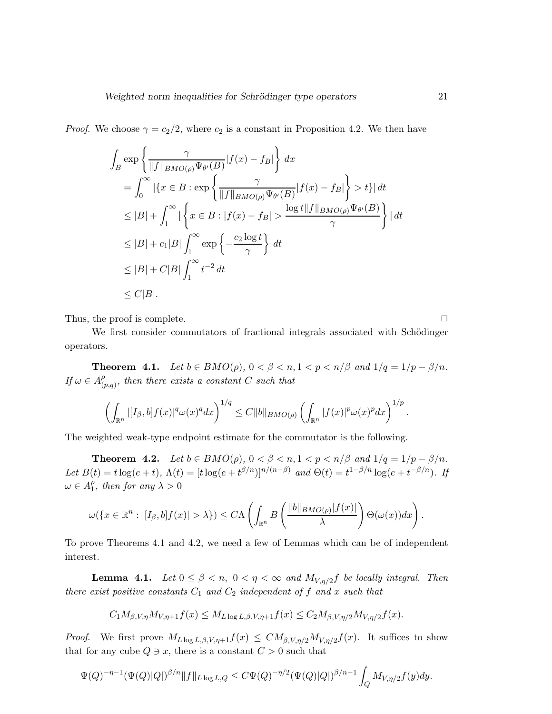*Proof.* We choose  $\gamma = c_2/2$ , where  $c_2$  is a constant in Proposition 4.2. We then have

$$
\int_{B} \exp \left\{ \frac{\gamma}{\|f\|_{BMO(\rho)} \Psi_{\theta'}(B)} |f(x) - f_B| \right\} dx
$$
\n
$$
= \int_{0}^{\infty} |\{x \in B : \exp \left\{ \frac{\gamma}{\|f\|_{BMO(\rho)} \Psi_{\theta'}(B)} |f(x) - f_B| \right\} > t \}| dt
$$
\n
$$
\leq |B| + \int_{1}^{\infty} |\left\{x \in B : |f(x) - f_B| > \frac{\log t \|f\|_{BMO(\rho)} \Psi_{\theta'}(B)}{\gamma} \right\} | dt
$$
\n
$$
\leq |B| + c_1 |B| \int_{1}^{\infty} \exp \left\{ -\frac{c_2 \log t}{\gamma} \right\} dt
$$
\n
$$
\leq |B| + C|B| \int_{1}^{\infty} t^{-2} dt
$$
\n
$$
\leq C|B|.
$$

Thus, the proof is complete.  $\Box$ 

We first consider commutators of fractional integrals associated with Schödinger operators.

**Theorem 4.1.** *Let*  $b \in BMO(\rho)$ ,  $0 < \beta < n, 1 < p < n/\beta$  *and*  $1/q = 1/p - \beta/n$ *. If*  $\omega \in A_0^{\rho}$  $_{(p,q)}^{\rho}$ , then there exists a constant C such that

$$
\left(\int_{\mathbb{R}^n} |[I_{\beta},b]f(x)|^q \omega(x)^q dx\right)^{1/q} \leq C \|b\|_{BMO(\rho)} \left(\int_{\mathbb{R}^n} |f(x)|^p \omega(x)^p dx\right)^{1/p}.
$$

The weighted weak-type endpoint estimate for the commutator is the following.

**Theorem 4.2.** *Let*  $b \in BMO(\rho)$ ,  $0 < \beta < n, 1 < p < n/\beta$  and  $1/q = 1/p - \beta/n$ . Let  $B(t) = t \log(e + t)$ ,  $\Lambda(t) = [t \log(e + t^{\beta/n})]^{n/(n-\beta)}$  and  $\Theta(t) = t^{1-\beta/n} \log(e + t^{-\beta/n})$ . If  $\omega \in A_1^{\rho}$  $_{1}^{\rho}$ , then for any  $\lambda > 0$ 

$$
\omega(\{x\in\mathbb{R}^n:|[I_{\beta},b]f(x)|>\lambda\})\leq C\Lambda\left(\int_{\mathbb{R}^n}B\left(\frac{\|b\|_{BMO(\rho)}|f(x)|}{\lambda}\right)\Theta(\omega(x))dx\right).
$$

To prove Theorems 4.1 and 4.2, we need a few of Lemmas which can be of independent interest.

**Lemma 4.1.** *Let*  $0 \le \beta < n$ ,  $0 < \eta < \infty$  *and*  $M_{V,\eta/2}f$  *be locally integral. Then there exist positive constants*  $C_1$  *and*  $C_2$  *independent of*  $f$  *and*  $x$  *such that* 

$$
C_1 M_{\beta, V, \eta} M_{V, \eta+1} f(x) \leq M_{L \log L, \beta, V, \eta+1} f(x) \leq C_2 M_{\beta, V, \eta/2} M_{V, \eta/2} f(x).
$$

*Proof.* We first prove  $M_{L \log L, \beta, V, \eta+1}f(x) \leq CM_{\beta, V, \eta/2}M_{V, \eta/2}f(x)$ . It suffices to show that for any cube  $Q \ni x$ , there is a constant  $C > 0$  such that

$$
\Psi(Q)^{-\eta-1} (\Psi(Q)|Q|)^{\beta/n} \|f\|_{L \log L,Q} \leq C\Psi(Q)^{-\eta/2} (\Psi(Q)|Q|)^{\beta/n-1} \int_Q M_{V,\eta/2} f(y) dy.
$$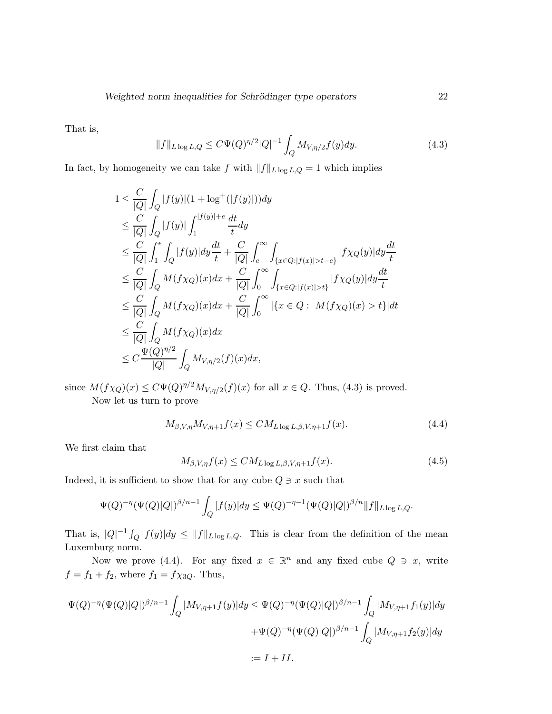That is,

$$
||f||_{L\log L,Q} \leq C\Psi(Q)^{\eta/2}|Q|^{-1} \int_{Q} M_{V,\eta/2}f(y)dy.
$$
 (4.3)

In fact, by homogeneity we can take f with  $||f||_{L \log L,Q} = 1$  which implies

$$
1 \leq \frac{C}{|Q|} \int_Q |f(y)|(1 + \log^+(|f(y)|))dy
$$
  
\n
$$
\leq \frac{C}{|Q|} \int_Q |f(y)| \int_1^{|f(y)| + \epsilon} \frac{dt}{t} dy
$$
  
\n
$$
\leq \frac{C}{|Q|} \int_1^{\epsilon} \int_Q |f(y)| dy \frac{dt}{t} + \frac{C}{|Q|} \int_{\epsilon}^{\infty} \int_{\{x \in Q : |f(x)| > t - \epsilon\}} |f \chi_Q(y)| dy \frac{dt}{t}
$$
  
\n
$$
\leq \frac{C}{|Q|} \int_Q M(f \chi_Q)(x) dx + \frac{C}{|Q|} \int_0^{\infty} \int_{\{x \in Q : |f(x)| > t\}} |f \chi_Q(y)| dy \frac{dt}{t}
$$
  
\n
$$
\leq \frac{C}{|Q|} \int_Q M(f \chi_Q)(x) dx + \frac{C}{|Q|} \int_0^{\infty} | \{x \in Q : M(f \chi_Q)(x) > t \} | dt
$$
  
\n
$$
\leq \frac{C}{|Q|} \int_Q M(f \chi_Q)(x) dx
$$
  
\n
$$
\leq C \frac{\Psi(Q)^{\eta/2}}{|Q|} \int_Q M_{V, \eta/2}(f)(x) dx,
$$

since  $M(f\chi_Q)(x) \leq C\Psi(Q)^{\eta/2}M_{V,\eta/2}(f)(x)$  for all  $x \in Q$ . Thus, (4.3) is proved. Now let us turn to prove

$$
M_{\beta,V,\eta}M_{V,\eta+1}f(x) \leq CM_{L\log L,\beta,V,\eta+1}f(x). \tag{4.4}
$$

We first claim that

$$
M_{\beta,V,\eta}f(x) \leq CM_{L\log L,\beta,V,\eta+1}f(x). \tag{4.5}
$$

Indeed, it is sufficient to show that for any cube  $Q \ni x$  such that

$$
\Psi(Q)^{-\eta} (\Psi(Q)|Q|)^{\beta/n-1} \int_Q |f(y)| dy \le \Psi(Q)^{-\eta-1} (\Psi(Q)|Q|)^{\beta/n} ||f||_{L \log L,Q}.
$$

That is,  $|Q|^{-1} \int_Q |f(y)| dy \le ||f||_{L \log L,Q}$ . This is clear from the definition of the mean Luxemburg norm.

Now we prove (4.4). For any fixed  $x \in \mathbb{R}^n$  and any fixed cube  $Q \ni x$ , write  $f = f_1 + f_2$ , where  $f_1 = f \chi_{3Q}$ . Thus,

$$
\Psi(Q)^{-\eta}(\Psi(Q)|Q|)^{\beta/n-1} \int_{Q} |M_{V,\eta+1}f(y)|dy \leq \Psi(Q)^{-\eta}(\Psi(Q)|Q|)^{\beta/n-1} \int_{Q} |M_{V,\eta+1}f_1(y)|dy
$$
  
 
$$
+\Psi(Q)^{-\eta}(\Psi(Q)|Q|)^{\beta/n-1} \int_{Q} |M_{V,\eta+1}f_2(y)|dy
$$
  
 
$$
:= I + II.
$$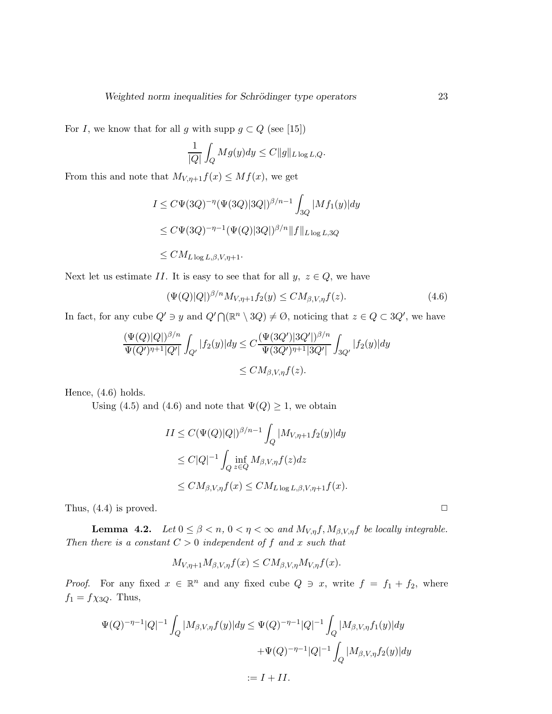For I, we know that for all g with supp  $g \subset Q$  (see [15])

$$
\frac{1}{|Q|} \int_Q Mg(y) dy \le C ||g||_{L \log L,Q}.
$$

From this and note that  $M_{V,\eta+1}f(x) \leq Mf(x)$ , we get

$$
I \le C\Psi(3Q)^{-\eta}(\Psi(3Q)|3Q|)^{\beta/n-1} \int_{3Q} |Mf_1(y)|dy
$$
  
\n
$$
\le C\Psi(3Q)^{-\eta-1}(\Psi(Q)|3Q|)^{\beta/n} ||f||_{L\log L,3Q}
$$
  
\n
$$
\le C M_{L\log L,\beta,V,\eta+1}.
$$

Next let us estimate II. It is easy to see that for all  $y, z \in Q$ , we have

$$
(\Psi(Q)|Q|)^{\beta/n} M_{V,\eta+1} f_2(y) \leq C M_{\beta,V,\eta} f(z). \tag{4.6}
$$

In fact, for any cube  $Q' \ni y$  and  $Q' \cap (\mathbb{R}^n \setminus 3Q) \neq \emptyset$ , noticing that  $z \in Q \subset 3Q'$ , we have

$$
\frac{(\Psi(Q)|Q|)^{\beta/n}}{\Psi(Q')^{\eta+1}|Q'|} \int_{Q'} |f_2(y)| dy \le C \frac{(\Psi(3Q')|3Q'|)^{\beta/n}}{\Psi(3Q')^{\eta+1}|3Q'|} \int_{3Q'} |f_2(y)| dy
$$
  
\n
$$
\le C M_{\beta,V,\eta} f(z).
$$

Hence, (4.6) holds.

Using (4.5) and (4.6) and note that  $\Psi(Q) \geq 1$ , we obtain

$$
II \leq C(\Psi(Q)|Q|)^{\beta/n-1} \int_Q |M_{V,\eta+1}f_2(y)| dy
$$
  
\n
$$
\leq C|Q|^{-1} \int_Q \inf_{z \in Q} M_{\beta,V,\eta} f(z) dz
$$
  
\n
$$
\leq C M_{\beta,V,\eta} f(x) \leq C M_{L \log L, \beta,V,\eta+1} f(x).
$$

Thus,  $(4.4)$  is proved.  $\Box$ 

**Lemma 4.2.** *Let*  $0 \le \beta < n$ ,  $0 < \eta < \infty$  *and*  $M_{V,\eta}f$ ,  $M_{\beta,V,\eta}f$  *be locally integrable. Then there is a constant*  $C > 0$  *independent of*  $f$  *and*  $x$  *such that* 

$$
M_{V,\eta+1}M_{\beta,V,\eta}f(x) \leq CM_{\beta,V,\eta}M_{V,\eta}f(x).
$$

*Proof.* For any fixed  $x \in \mathbb{R}^n$  and any fixed cube  $Q \ni x$ , write  $f = f_1 + f_2$ , where  $f_1 = f \chi_{3Q}$ . Thus,

$$
\Psi(Q)^{-\eta-1}|Q|^{-1}\int_{Q}|M_{\beta,V,\eta}f(y)|dy \leq \Psi(Q)^{-\eta-1}|Q|^{-1}\int_{Q}|M_{\beta,V,\eta}f_1(y)|dy
$$
  
 
$$
+\Psi(Q)^{-\eta-1}|Q|^{-1}\int_{Q}|M_{\beta,V,\eta}f_2(y)|dy
$$
  
 
$$
:=I+II.
$$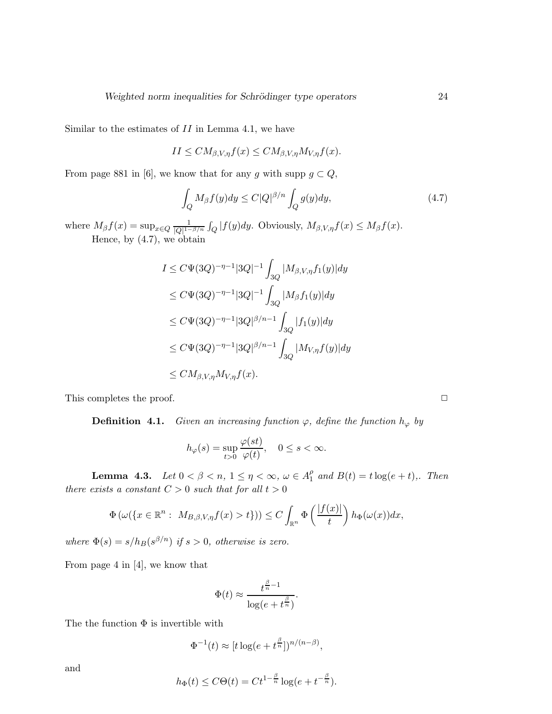Similar to the estimates of  $II$  in Lemma 4.1, we have

$$
II \leq CM_{\beta,V,\eta}f(x) \leq CM_{\beta,V,\eta}M_{V,\eta}f(x).
$$

From page 881 in [6], we know that for any g with supp  $g \subset Q$ ,

$$
\int_{Q} M_{\beta} f(y) dy \le C|Q|^{\beta/n} \int_{Q} g(y) dy,
$$
\n(4.7)

where  $M_{\beta}f(x) = \sup_{x \in Q} \frac{1}{|Q|^{1-\beta}}$  $\frac{1}{|Q|^{1-\beta/n}} \int_Q |f(y)dy$ . Obviously,  $M_{\beta,V,\eta} f(x) \leq M_\beta f(x)$ . Hence, by (4.7), we obtain

$$
I \leq C\Psi(3Q)^{-\eta-1}|3Q|^{-1} \int_{3Q} |M_{\beta,V,\eta}f_1(y)|dy
$$
  
\n
$$
\leq C\Psi(3Q)^{-\eta-1}|3Q|^{-1} \int_{3Q} |M_{\beta}f_1(y)|dy
$$
  
\n
$$
\leq C\Psi(3Q)^{-\eta-1}|3Q|^{\beta/n-1} \int_{3Q} |f_1(y)|dy
$$
  
\n
$$
\leq C\Psi(3Q)^{-\eta-1}|3Q|^{\beta/n-1} \int_{3Q} |M_{V,\eta}f(y)|dy
$$
  
\n
$$
\leq CM_{\beta,V,\eta}M_{V,\eta}f(x).
$$

This completes the proof.  $\Box$ 

**Definition 4.1.** *Given an increasing function*  $\varphi$ *, define the function*  $h_{\varphi}$  *by* 

$$
h_{\varphi}(s) = \sup_{t>0} \frac{\varphi(st)}{\varphi(t)}, \quad 0 \le s < \infty.
$$

**Lemma 4.3.** *Let*  $0 < \beta < n$ ,  $1 \le \eta < \infty$ ,  $\omega \in A_1^{\rho}$  $_1^{\rho}$  and  $B(t) = t \log(e + t)$ , Then *there exists a constant*  $C > 0$  *such that for all*  $t > 0$ 

$$
\Phi\left(\omega(\lbrace x \in \mathbb{R}^n : M_{B,\beta,V,\eta}f(x) > t \rbrace)\right) \leq C \int_{\mathbb{R}^n} \Phi\left(\frac{|f(x)|}{t}\right) h_{\Phi}(\omega(x)) dx,
$$

*where*  $\Phi(s) = s/h_B(s^{\beta/n})$  *if*  $s > 0$ *, otherwise is zero.* 

From page 4 in [4], we know that

$$
\Phi(t) \approx \frac{t^{\frac{\beta}{n}-1}}{\log(e+t^{\frac{\beta}{n}})}.
$$

The the function  $\Phi$  is invertible with

$$
\Phi^{-1}(t) \approx [t \log(e + t^{\frac{\beta}{n}}])^{n/(n-\beta)},
$$

and

$$
h_{\Phi}(t) \leq C\Theta(t) = Ct^{1-\frac{\beta}{n}}\log(e+t^{-\frac{\beta}{n}}).
$$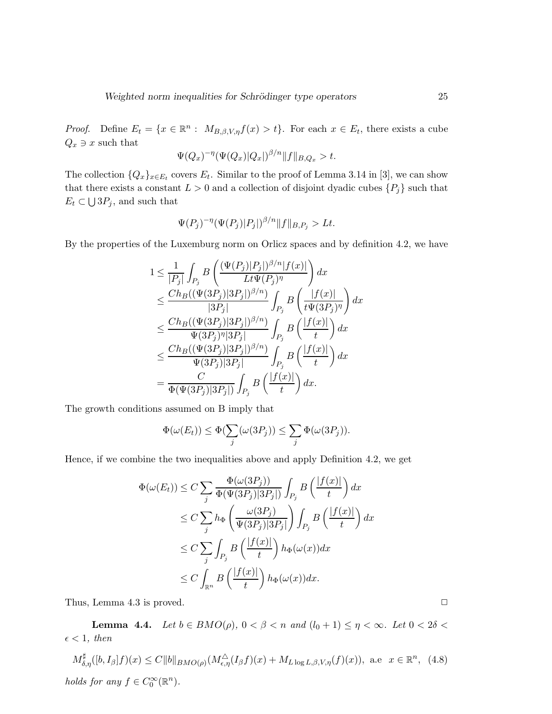*Proof.* Define  $E_t = \{x \in \mathbb{R}^n : M_{B,\beta,V,\eta}f(x) > t\}$ . For each  $x \in E_t$ , there exists a cube  $Q_x \ni x$  such that

$$
\Psi(Q_x)^{-\eta}(\Psi(Q_x)|Q_x|)^{\beta/n}||f||_{B,Q_x} > t.
$$

The collection  $\{Q_x\}_{x \in E_t}$  covers  $E_t$ . Similar to the proof of Lemma 3.14 in [3], we can show that there exists a constant  $L > 0$  and a collection of disjoint dyadic cubes  $\{P_j\}$  such that  $E_t \subset \bigcup 3P_j$ , and such that

$$
\Psi(P_j)^{-\eta}(\Psi(P_j)|P_j|)^{\beta/n}||f||_{B,P_j} > Lt.
$$

By the properties of the Luxemburg norm on Orlicz spaces and by definition 4.2, we have

$$
1 \leq \frac{1}{|P_j|} \int_{P_j} B\left(\frac{(\Psi(P_j)|P_j|)^{\beta/n}|f(x)|}{Lt\Psi(P_j)^{\eta}}\right) dx
$$
  
\n
$$
\leq \frac{Ch_B((\Psi(3P_j)|3P_j|)^{\beta/n})}{|3P_j|} \int_{P_j} B\left(\frac{|f(x)|}{t\Psi(3P_j)^{\eta}}\right) dx
$$
  
\n
$$
\leq \frac{Ch_B((\Psi(3P_j)|3P_j|)^{\beta/n})}{\Psi(3P_j)^{\eta}|3P_j|} \int_{P_j} B\left(\frac{|f(x)|}{t}\right) dx
$$
  
\n
$$
\leq \frac{Ch_B((\Psi(3P_j)|3P_j|)^{\beta/n})}{\Psi(3P_j)|3P_j|} \int_{P_j} B\left(\frac{|f(x)|}{t}\right) dx
$$
  
\n
$$
= \frac{C}{\Phi(\Psi(3P_j)|3P_j|)} \int_{P_j} B\left(\frac{|f(x)|}{t}\right) dx.
$$

The growth conditions assumed on B imply that

$$
\Phi(\omega(E_t)) \le \Phi(\sum_j (\omega(3P_j)) \le \sum_j \Phi(\omega(3P_j)).
$$

Hence, if we combine the two inequalities above and apply Definition 4.2, we get

$$
\Phi(\omega(E_t)) \leq C \sum_{j} \frac{\Phi(\omega(3P_j))}{\Phi(\Psi(3P_j)|3P_j|)} \int_{P_j} B\left(\frac{|f(x)|}{t}\right) dx
$$
  
\n
$$
\leq C \sum_{j} h_{\Phi}\left(\frac{\omega(3P_j)}{\Psi(3P_j)|3P_j|}\right) \int_{P_j} B\left(\frac{|f(x)|}{t}\right) dx
$$
  
\n
$$
\leq C \sum_{j} \int_{P_j} B\left(\frac{|f(x)|}{t}\right) h_{\Phi}(\omega(x)) dx
$$
  
\n
$$
\leq C \int_{\mathbb{R}^n} B\left(\frac{|f(x)|}{t}\right) h_{\Phi}(\omega(x)) dx.
$$

Thus, Lemma 4.3 is proved.  $\Box$ 

**Lemma 4.4.** *Let*  $b \in BMO(\rho)$ ,  $0 < \beta < n$  *and*  $(l_0 + 1) \leq \eta < \infty$ *. Let*  $0 < 2\delta <$  $\epsilon < 1$ , then

$$
M_{\delta,\eta}^{\sharp}([b,I_{\beta}]\mathbf{f})(x) \le C \|b\|_{BMO(\rho)} (M_{\epsilon,\eta}^{\Delta}(I_{\beta}\mathbf{f})(x) + M_{L \log L, \beta, V,\eta}(\mathbf{f})(x)), \text{ a.e } x \in \mathbb{R}^{n}, \tag{4.8}
$$
  
holds for any  $f \in C_{0}^{\infty}(\mathbb{R}^{n})$ .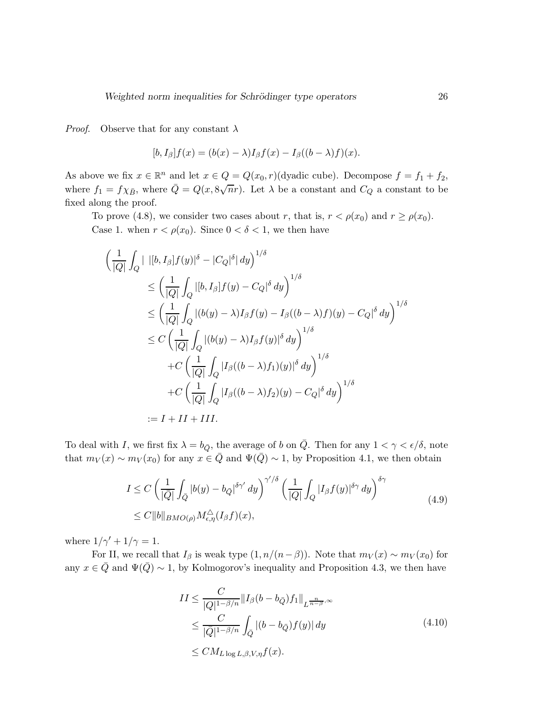*Proof.* Observe that for any constant  $\lambda$ 

$$
[b, I_{\beta}]f(x) = (b(x) - \lambda)I_{\beta}f(x) - I_{\beta}((b - \lambda)f)(x).
$$

As above we fix  $x \in \mathbb{R}^n$  and let  $x \in Q = Q(x_0, r)$  (dyadic cube). Decompose  $f = f_1 + f_2$ , where  $f_1 = f \chi_{\bar{B}}$ , where  $\bar{Q} = Q(x, 8\sqrt{n}r)$ . Let  $\lambda$  be a constant and  $C_Q$  a constant to be fixed along the proof.

To prove (4.8), we consider two cases about r, that is,  $r < \rho(x_0)$  and  $r \ge \rho(x_0)$ . Case 1. when  $r < \rho(x_0)$ . Since  $0 < \delta < 1$ , we then have

$$
\left(\frac{1}{|Q|}\int_{Q}|\left|[b,I_{\beta}]\overline{f}(y)|^{\delta}-|C_{Q}|^{\delta}|dy\right)^{1/\delta}\right.\n\leq \left(\frac{1}{|Q|}\int_{Q}|[b,I_{\beta}]\overline{f}(y)-C_{Q}|^{\delta}dy\right)^{1/\delta}\n\leq \left(\frac{1}{|Q|}\int_{Q}|(b(y)-\lambda)I_{\beta}\overline{f}(y)-I_{\beta}((b-\lambda)\overline{f})(y)-C_{Q}|^{\delta}dy\right)^{1/\delta}\n\leq C\left(\frac{1}{|Q|}\int_{Q}|(b(y)-\lambda)I_{\beta}\overline{f}(y)|^{\delta}dy\right)^{1/\delta}\n+C\left(\frac{1}{|Q|}\int_{Q}|I_{\beta}((b-\lambda)\overline{f}_{1})(y)|^{\delta}dy\right)^{1/\delta}\n+C\left(\frac{1}{|Q|}\int_{Q}|I_{\beta}((b-\lambda)\overline{f}_{2})(y)-C_{Q}|^{\delta}dy\right)^{1/\delta}\n:=I+II+III.
$$

To deal with I, we first fix  $\lambda = b_{\bar{Q}}$ , the average of b on  $\bar{Q}$ . Then for any  $1 < \gamma < \epsilon/\delta$ , note that  $m_V(x) \sim m_V(x_0)$  for any  $x \in \overline{Q}$  and  $\Psi(\overline{Q}) \sim 1$ , by Proposition 4.1, we then obtain

$$
I \leq C \left( \frac{1}{|\overline{Q}|} \int_{\overline{Q}} |b(y) - b_{\overline{Q}}|^{5\gamma'} dy \right)^{\gamma'/\delta} \left( \frac{1}{|Q|} \int_{Q} |I_{\beta}f(y)|^{5\gamma} dy \right)^{\delta\gamma}
$$
  
\n
$$
\leq C \|b\|_{BMO(\rho)} M_{\epsilon,\eta}^{\Delta}(I_{\beta}f)(x), \qquad (4.9)
$$

where  $1/\gamma' + 1/\gamma = 1$ .

For II, we recall that  $I_\beta$  is weak type  $(1, n/(n-\beta))$ . Note that  $m_V(x) \sim m_V(x_0)$  for any  $x \in \overline{Q}$  and  $\Psi(\overline{Q}) \sim 1$ , by Kolmogorov's inequality and Proposition 4.3, we then have

$$
II \leq \frac{C}{|Q|^{1-\beta/n}} \|I_{\beta}(b - b_{\bar{Q}})f_1\|_{L^{\frac{n}{n-\beta},\infty}}
$$
  
\n
$$
\leq \frac{C}{|\bar{Q}|^{1-\beta/n}} \int_{\bar{Q}} |(b - b_{\bar{Q}})f(y)| dy
$$
  
\n
$$
\leq CM_{L \log L, \beta, V, \eta} f(x).
$$
\n(4.10)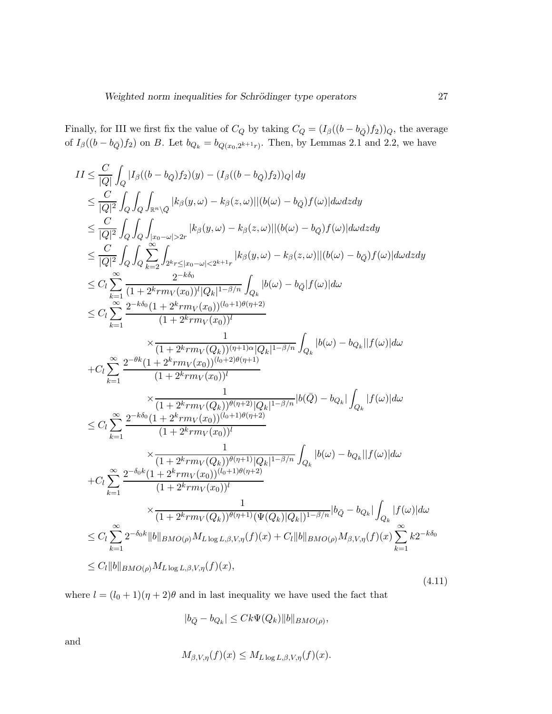Finally, for III we first fix the value of  $C_Q$  by taking  $C_Q = (I_\beta((b - b_{\bar{Q}})f_2))_Q$ , the average of  $I_{\beta}((b - b_{\bar{Q}})f_2)$  on B. Let  $b_{Q_k} = b_{Q(x_0,2^{k+1}r)}$ . Then, by Lemmas 2.1 and 2.2, we have

$$
II \leq \frac{C}{|Q|} \int_{Q} |I_{\beta}((b - b_{Q})f_{2})(y) - (I_{\beta}((b - b_{Q})f_{2}))_{Q}| dy
$$
  
\n
$$
\leq \frac{C}{|Q|^{2}} \int_{Q} \int_{Q} \int_{\mathbb{R}^{n} \setminus \bar{Q}} |k_{\beta}(y, \omega) - k_{\beta}(z, \omega)||(b(\omega) - b_{Q})f(\omega)|d\omega dz dy
$$
  
\n
$$
\leq \frac{C}{|Q|^{2}} \int_{Q} \int_{Q} \int_{\mathbb{R}^{n} \setminus \omega} |k_{\beta}(y, \omega) - k_{\beta}(z, \omega)||(b(\omega) - b_{Q})f(\omega)|d\omega dz dy
$$
  
\n
$$
\leq \frac{C}{|Q|^{2}} \int_{Q} \int_{Q} \sum_{k=2}^{\infty} \int_{2^{k}r \leq |x_{0} - \omega| < 2^{k+1}r} |k_{\beta}(y, \omega) - k_{\beta}(z, \omega)||(b(\omega) - b_{Q})f(\omega)|d\omega dz dy
$$
  
\n
$$
\leq C_{l} \sum_{k=1}^{\infty} \frac{2^{-k\delta_{0}}}{(1 + 2^{k}r m_{V}(x_{0}))^{l} |Q_{k}|^{1 - \beta/n}} \int_{Q_{k}} |b(\omega) - b_{Q}|f(\omega)| d\omega
$$
  
\n
$$
\leq C_{l} \sum_{k=1}^{\infty} \frac{2^{-k\delta_{0}} (1 + 2^{k}r m_{V}(x_{0}))^{(l_{0}+1)\theta(r+2)}}{(1 + 2^{k}r m_{V}(x_{0}))^{(l_{0}+1)\theta(r+2)}} \times \frac{1}{(1 + 2^{k}r m_{V}(x_{0}))^{(l_{0}+2)\theta(r+1)}} \int_{Q_{k}} |b(\omega) - b_{Q_{k}}| |f(\omega)| d\omega
$$
  
\n
$$
+ C_{l} \sum_{k=1}^{\infty} \frac{2^{-\theta k} (1 + 2^{k}r m_{V}(x_{0}))^{(l_{0}+2)\theta(r+1)}}{(1 + 2^{k}r m_{V}(x_{0}))^{(l_{0}+1)\theta(r+2)}} \times \frac{1}{(1 + 2^{k}r m_{V}(x_{0}))^{
$$

where  $l = (l_0 + 1)(\eta + 2)\theta$  and in last inequality we have used the fact that

$$
|b_{\bar{Q}} - b_{Q_k}| \leq Ck \Psi(Q_k) ||b||_{BMO(\rho)},
$$

and

$$
M_{\beta,V,\eta}(f)(x) \leq M_{L\log L,\beta,V,\eta}(f)(x).
$$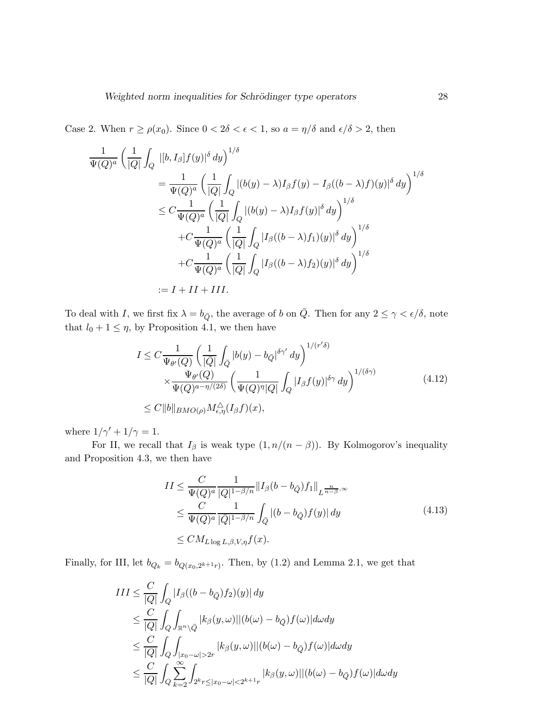Case 2. When  $r \ge \rho(x_0)$ . Since  $0 < 2\delta < \epsilon < 1$ , so  $a = \eta/\delta$  and  $\epsilon/\delta > 2$ , then

$$
\frac{1}{\Psi(Q)^a} \left( \frac{1}{|Q|} \int_Q |[b, I_\beta] f(y)|^\delta dy \right)^{1/\delta}
$$
\n
$$
= \frac{1}{\Psi(Q)^a} \left( \frac{1}{|Q|} \int_Q |(b(y) - \lambda) I_\beta f(y) - I_\beta((b - \lambda) f)(y)|^\delta dy \right)^{1/\delta}
$$
\n
$$
\leq C \frac{1}{\Psi(Q)^a} \left( \frac{1}{|Q|} \int_Q |(b(y) - \lambda) I_\beta f(y)|^\delta dy \right)^{1/\delta}
$$
\n
$$
+ C \frac{1}{\Psi(Q)^a} \left( \frac{1}{|Q|} \int_Q |I_\beta((b - \lambda) f_1)(y)|^\delta dy \right)^{1/\delta}
$$
\n
$$
+ C \frac{1}{\Psi(Q)^a} \left( \frac{1}{|Q|} \int_Q |I_\beta((b - \lambda) f_2)(y)|^\delta dy \right)^{1/\delta}
$$
\n
$$
:= I + II + III.
$$

To deal with I, we first fix  $\lambda = b_{\bar{Q}}$ , the average of b on  $\bar{Q}$ . Then for any  $2 \le \gamma < \epsilon/\delta$ , note that  $l_0 + 1 \leq \eta$ , by Proposition 4.1, we then have

$$
I \leq C \frac{1}{\Psi_{\theta'}(Q)} \left( \frac{1}{|\overline{Q}|} \int_{\overline{Q}} |b(y) - b_{\overline{Q}}|^{\delta \gamma'} dy \right)^{1/(r'\delta)} \times \frac{\Psi_{\theta'}(Q)}{\Psi(Q)^{a - \eta/(2\delta)}} \left( \frac{1}{\Psi(Q)^{\eta} |Q|} \int_{Q} |I_{\beta} f(y)|^{\delta \gamma} dy \right)^{1/(\delta \gamma)} \leq C \|b\|_{BMO(\rho)} M_{\epsilon, \eta}^{\Delta}(I_{\beta} f)(x), \qquad (4.12)
$$

where  $1/\gamma' + 1/\gamma = 1$ .

For II, we recall that  $I_\beta$  is weak type  $(1, n/(n - \beta))$ . By Kolmogorov's inequality and Proposition 4.3, we then have

$$
II \leq \frac{C}{\Psi(Q)^a} \frac{1}{|Q|^{1-\beta/n}} \|I_\beta(b - b_{\bar{Q}}) f_1\|_{L^{\frac{n}{n-\beta},\infty}}
$$
  
\n
$$
\leq \frac{C}{\Psi(Q)^a} \frac{1}{|\bar{Q}|^{1-\beta/n}} \int_{\bar{Q}} |(b - b_{\bar{Q}}) f(y)| dy
$$
  
\n
$$
\leq CM_{L \log L, \beta, V, \eta} f(x).
$$
\n(4.13)

Finally, for III, let  $b_{Q_k} = b_{Q(x_0, 2^{k+1}r)}$ . Then, by (1.2) and Lemma 2.1, we get that

$$
III \leq \frac{C}{|Q|} \int_{Q} |I_{\beta}((b - b_{\bar{Q}}) f_2)(y)| dy
$$
  
\n
$$
\leq \frac{C}{|Q|} \int_{Q} \int_{\mathbb{R}^n \setminus \bar{Q}} |k_{\beta}(y, \omega)| |(b(\omega) - b_{\bar{Q}}) f(\omega)| d\omega dy
$$
  
\n
$$
\leq \frac{C}{|Q|} \int_{Q} \int_{|x_0 - \omega| > 2r} |k_{\beta}(y, \omega)| |(b(\omega) - b_{\bar{Q}}) f(\omega)| d\omega dy
$$
  
\n
$$
\leq \frac{C}{|Q|} \int_{Q} \sum_{k=2}^{\infty} \int_{2^k r \leq |x_0 - \omega| < 2^{k+1}r} |k_{\beta}(y, \omega)| |(b(\omega) - b_{\bar{Q}}) f(\omega)| d\omega dy
$$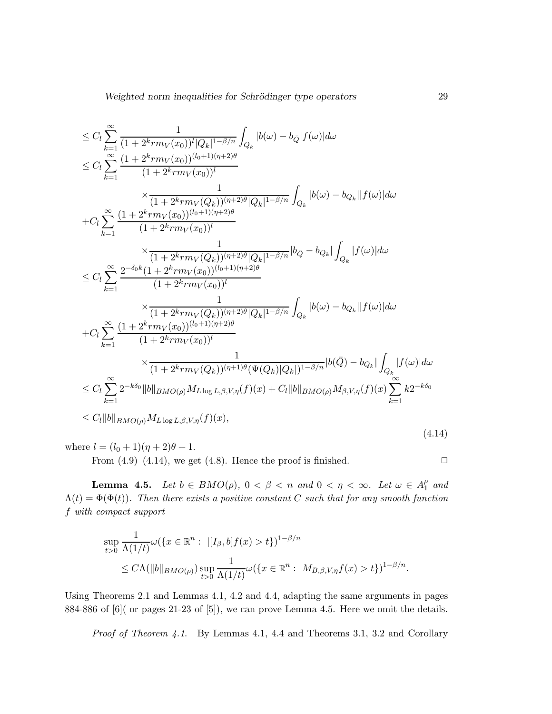Weighted norm inequalities for Schrödinger type operators 29

$$
\leq C_{l} \sum_{k=1}^{\infty} \frac{1}{(1+2^{k}rm_{V}(x_{0}))^{l}|Q_{k}|^{1-\beta/n}} \int_{Q_{k}} |b(\omega)-b_{\bar{Q}}|f(\omega)|d\omega \n\leq C_{l} \sum_{k=1}^{\infty} \frac{(1+2^{k}rm_{V}(x_{0}))^{(l_{0}+1)(\eta+2)\theta}}{(1+2^{k}rm_{V}(x_{0}))^{l}} \times \frac{1}{(1+2^{k}rm_{V}(x_{0}))^{(l_{0}+1)(\eta+2)\theta}} \int_{Q_{k}} |b(\omega)-b_{Q_{k}}||f(\omega)|d\omega \n+ C_{l} \sum_{k=1}^{\infty} \frac{(1+2^{k}rm_{V}(x_{0}))^{(l_{0}+1)(\eta+2)\theta}}{(1+2^{k}rm_{V}(x_{0}))^{l}} \times \frac{1}{(1+2^{k}rm_{V}(Q_{k}))^{(\eta+2)\theta}|Q_{k}|^{1-\beta/n}} |b_{\bar{Q}}-b_{Q_{k}}| \int_{Q_{k}} |f(\omega)|d\omega \n\leq C_{l} \sum_{k=1}^{\infty} \frac{2^{-\delta_{0}k}(1+2^{k}rm_{V}(x_{0}))^{(l_{0}+1)(\eta+2)\theta}}{(1+2^{k}rm_{V}(x_{0}))^{l}} \times \frac{1}{(1+2^{k}rm_{V}(Q_{k}))^{(\eta+2)\theta}|Q_{k}|^{1-\beta/n}} \int_{Q_{k}} |b(\omega)-b_{Q_{k}}||f(\omega)|d\omega \n+ C_{l} \sum_{k=1}^{\infty} \frac{(1+2^{k}rm_{V}(x_{0}))^{(l_{0}+1)(\eta+2)\theta}}{(1+2^{k}rm_{V}(x_{0}))^{(l_{0}+1)(\eta+2)\theta}} \times \frac{1}{(1+2^{k}rm_{V}(Q_{k}))^{(\eta+1)\theta}(\Psi(Q_{k})|Q_{k}|)^{1-\beta/n}} |b(\bar{Q})-b_{Q_{k}}| \int_{Q_{k}} |f(\omega)|d\omega \n\leq C_{l} \sum_{k=1}^{\infty} 2^{-k\delta_{0}} ||b||_{BMO(\rho)} M_{L \log L, \beta, V, \eta}(f)(x) + C_{l} ||b||_{BMO(\rho)} M_{\beta, V, \eta}(f)(x)
$$

where  $l = (l_0 + 1)(\eta + 2)\theta + 1$ .

From  $(4.9)$ – $(4.14)$ , we get  $(4.8)$ . Hence the proof is finished.  $\Box$ 

**Lemma 4.5.** *Let*  $b \in BMO(\rho)$ ,  $0 < \beta < n$  *and*  $0 < \eta < \infty$ *. Let*  $\omega \in A_1^{\rho}$  $\int_{1}^{\rho}$  and  $\Lambda(t) = \Phi(\Phi(t))$ . Then there exists a positive constant C such that for any smooth function f *with compact support*

$$
\sup_{t>0} \frac{1}{\Lambda(1/t)} \omega(\{x \in \mathbb{R}^n : |[I_{\beta}, b]f(x) > t\})^{1-\beta/n}
$$
  
 
$$
\leq C\Lambda(||b||_{BMO(\rho)}) \sup_{t>0} \frac{1}{\Lambda(1/t)} \omega(\{x \in \mathbb{R}^n : M_{B,\beta,V,\eta}f(x) > t\})^{1-\beta/n}.
$$

Using Theorems 2.1 and Lemmas 4.1, 4.2 and 4.4, adapting the same arguments in pages 884-886 of [6]( or pages 21-23 of [5]), we can prove Lemma 4.5. Here we omit the details.

*Proof of Theorem 4.1*. By Lemmas 4.1, 4.4 and Theorems 3.1, 3.2 and Corollary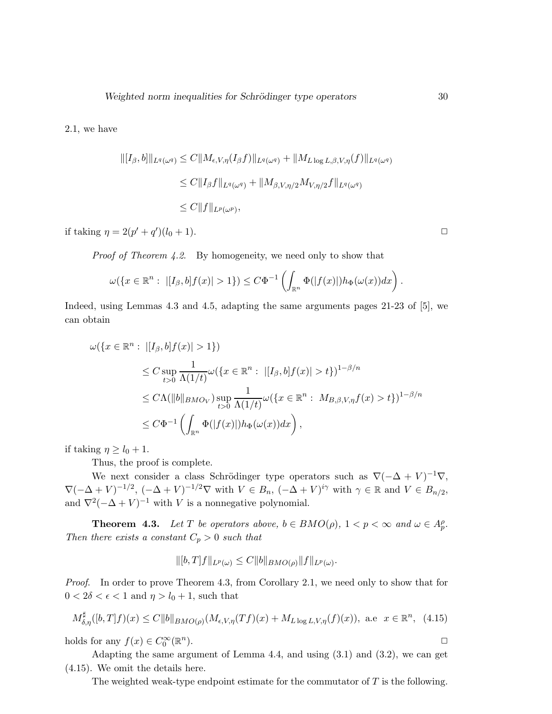$$
\begin{aligned} \|[I_{\beta},b]\|_{L^q(\omega^q)} &\leq C \|M_{\epsilon,V,\eta}(I_{\beta}f)\|_{L^q(\omega^q)} + \|M_{L\log L,\beta,V,\eta}(f)\|_{L^q(\omega^q)} \\ &\leq C \|I_{\beta}f\|_{L^q(\omega^q)} + \|M_{\beta,V,\eta/2}M_{V,\eta/2}f\|_{L^q(\omega^q)} \\ &\leq C \|f\|_{L^p(\omega^p)}, \end{aligned}
$$

if taking  $\eta = 2(p' + q')(l_0 + 1)$ .

*Proof of Theorem 4.2*. By homogeneity, we need only to show that

$$
\omega(\lbrace x \in \mathbb{R}^n : \ |[I_{\beta},b]f(x)| > 1 \rbrace) \leq C\Phi^{-1}\left(\int_{\mathbb{R}^n} \Phi(|f(x)|)h_{\Phi}(\omega(x))dx\right)
$$

Indeed, using Lemmas 4.3 and 4.5, adapting the same arguments pages 21-23 of [5], we can obtain

$$
\omega({x \in \mathbb{R}^n : |[I_{\beta}, b]f(x)| > 1})
$$
  
\n
$$
\leq C \sup_{t>0} \frac{1}{\Lambda(1/t)} \omega({x \in \mathbb{R}^n : |[I_{\beta}, b]f(x)| > t})^{1-\beta/n}
$$
  
\n
$$
\leq C\Lambda(||b||_{BMO_V}) \sup_{t>0} \frac{1}{\Lambda(1/t)} \omega({x \in \mathbb{R}^n : M_{B,\beta,V,\eta}f(x) > t})^{1-\beta/n}
$$
  
\n
$$
\leq C\Phi^{-1}\left(\int_{\mathbb{R}^n} \Phi(|f(x)|)h_{\Phi}(\omega(x))dx\right),
$$

if taking  $\eta \geq l_0 + 1$ .

Thus, the proof is complete.

We next consider a class Schrödinger type operators such as  $\nabla(-\Delta + V)^{-1}\nabla$ ,  $\nabla(-\Delta + V)^{-1/2}$ ,  $(-\Delta + V)^{-1/2}\nabla$  with  $V \in B_n$ ,  $(-\Delta + V)^{i\gamma}$  with  $\gamma \in \mathbb{R}$  and  $V \in B_{n/2}$ , and  $\nabla^2(-\Delta + V)^{-1}$  with V is a nonnegative polynomial.

**Theorem 4.3.** *Let* T *be operators above,*  $b \in BMO(\rho)$ ,  $1 < p < \infty$  *and*  $\omega \in A_p^{\rho}$ *. Then there exists a constant*  $C_p > 0$  *such that* 

$$
\|[b,T]f\|_{L^p(\omega)} \leq C \|b\|_{BMO(\rho)} \|f\|_{L^p(\omega)}.
$$

*Proof.* In order to prove Theorem 4.3, from Corollary 2.1, we need only to show that for  $0 < 2\delta < \epsilon < 1$  and  $\eta > l_0 + 1$ , such that

$$
M_{\delta,\eta}^{\sharp}([b,T]f)(x) \le C \|b\|_{BMO(\rho)} (M_{\epsilon,V,\eta}(Tf)(x) + M_{L \log L,V,\eta}(f)(x)), \text{ a.e } x \in \mathbb{R}^n, (4.15)
$$
  
olds for any  $f(x) \in C_0^{\infty}(\mathbb{R}^n)$ .

holds for any  $f(x) \in C_0^{\infty}(\mathbb{R}^n)$ 

Adapting the same argument of Lemma 4.4, and using (3.1) and (3.2), we can get (4.15). We omit the details here.

The weighted weak-type endpoint estimate for the commutator of  $T$  is the following.

.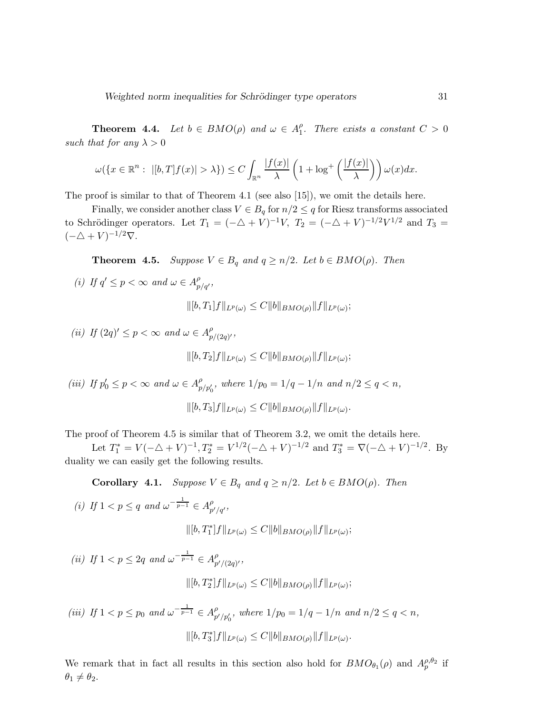**Theorem 4.4.** *Let*  $b \in BMO(\rho)$  *and*  $\omega \in A_1^{\rho}$  $^{\rho}_{1}$ . There exists a constant  $C > 0$ *such that for any*  $\lambda > 0$ 

$$
\omega(\lbrace x \in \mathbb{R}^n : \ |[b,T]f(x)| > \lambda \rbrace) \leq C \int_{\mathbb{R}^n} \frac{|f(x)|}{\lambda} \left(1 + \log^+ \left(\frac{|f(x)|}{\lambda}\right)\right) \omega(x) dx.
$$

The proof is similar to that of Theorem 4.1 (see also [15]), we omit the details here.

Finally, we consider another class  $V \in B_q$  for  $n/2 \leq q$  for Riesz transforms associated to Schrödinger operators. Let  $T_1 = (-\Delta + V)^{-1}V$ ,  $T_2 = (-\Delta + V)^{-1/2}V^{1/2}$  and  $T_3 =$  $(-\Delta + V)^{-1/2}\nabla$ .

**Theorem 4.5.** *Suppose*  $V \in B_q$  *and*  $q \geq n/2$ *. Let*  $b \in BMO(\rho)$ *. Then* 

(*i*) If  $q' \leq p < \infty$  and  $\omega \in A_{p/q'}^{\rho}$ ,

 $\|[b, T_1]f\|_{L^p(\omega)} \leq C \|b\|_{BMO(\rho)} \|f\|_{L^p(\omega)};$ 

(ii) If 
$$
(2q)' \leq p < \infty
$$
 and  $\omega \in A_{p/(2q)'}^{\rho}$ ,  
\n
$$
\|[b,T_2]f\|_{L^p(\omega)} \leq C \|b\|_{BMO(\rho)} \|f\|_{L^p(\omega)};
$$
\n(iii) If  $p'_0 \leq p < \infty$  and  $\omega \in A_{p/p'_0}^{\rho}$ , where  $1/p_0 = 1/q - 1/n$  and  $n/2 \leq q < n$ ,

$$
\|[b,T_3]f\|_{L^p(\omega)} \leq C \|b\|_{BMO(\rho)} \|f\|_{L^p(\omega)}.
$$

The proof of Theorem 4.5 is similar that of Theorem 3.2, we omit the details here.

Let  $T_1^* = V(-\triangle + V)^{-1}$ ,  $T_2^* = V^{1/2}(-\triangle + V)^{-1/2}$  and  $T_3^* = \nabla(-\triangle + V)^{-1/2}$ . By duality we can easily get the following results.

**Corollary 4.1.** *Suppose*  $V \in B_q$  *and*  $q \geq n/2$ *. Let*  $b \in BMO(\rho)$ *. Then* 

(i) If 
$$
1 < p \le q
$$
 and  $\omega^{-\frac{1}{p-1}} \in A_{p'/q'}^{\rho}$ ,  
\n
$$
\|[b,T_1^*]f\|_{L^p(\omega)} \le C \|b\|_{BMO(\rho)} \|f\|_{L^p(\omega)};
$$
\n(ii) If  $1 < p \le 2q$  and  $\omega^{-\frac{1}{p-1}} \in A_{p'/(2q)'}^{\rho}$ ,

(*ii*) If 
$$
1 < p \le 2q
$$
 and  $\omega^{-\frac{1}{p-1}} \in A_{p'/(2q)'}^{\rho}$ ,  
\n
$$
\|[b, T_2^*]f\|_{L^p(\omega)} \le C \|b\|_{BMO(\rho)} \|f\|_{L^p(\omega)};
$$

(iii) If 
$$
1 < p \le p_0
$$
 and  $\omega^{-\frac{1}{p-1}} \in A_{p'/p'_0}^{\rho}$ , where  $1/p_0 = 1/q - 1/n$  and  $n/2 \le q < n$ ,  

$$
\|[b, T_3^*]f\|_{L^p(\omega)} \le C \|b\|_{BMO(\rho)} \|f\|_{L^p(\omega)}.
$$

We remark that in fact all results in this section also hold for  $BMO_{\theta_1}(\rho)$  and  $A_p^{\rho,\theta_2}$  if  $\theta_1 \neq \theta_2.$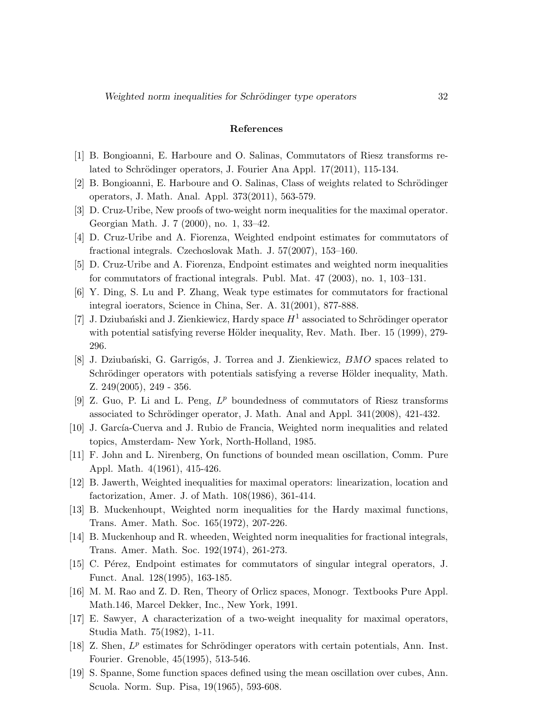### References

- [1] B. Bongioanni, E. Harboure and O. Salinas, Commutators of Riesz transforms related to Schrödinger operators, J. Fourier Ana Appl. 17(2011), 115-134.
- [2] B. Bongioanni, E. Harboure and O. Salinas, Class of weights related to Schrödinger operators, J. Math. Anal. Appl. 373(2011), 563-579.
- [3] D. Cruz-Uribe, New proofs of two-weight norm inequalities for the maximal operator. Georgian Math. J. 7 (2000), no. 1, 33–42.
- [4] D. Cruz-Uribe and A. Fiorenza, Weighted endpoint estimates for commutators of fractional integrals. Czechoslovak Math. J. 57(2007), 153–160.
- [5] D. Cruz-Uribe and A. Fiorenza, Endpoint estimates and weighted norm inequalities for commutators of fractional integrals. Publ. Mat. 47 (2003), no. 1, 103–131.
- [6] Y. Ding, S. Lu and P. Zhang, Weak type estimates for commutators for fractional integral ioerators, Science in China, Ser. A. 31(2001), 877-888.
- [7] J. Dziubański and J. Zienkiewicz, Hardy space  $H^1$  associated to Schrödinger operator with potential satisfying reverse Hölder inequality, Rev. Math. Iber.  $15$  (1999), 279-296.
- [8] J. Dziubański, G. Garrigós, J. Torrea and J. Zienkiewicz, *BMO* spaces related to Schrödinger operators with potentials satisfying a reverse Hölder inequality, Math. Z. 249(2005), 249 - 356.
- [9] Z. Guo, P. Li and L. Peng,  $L^p$  boundedness of commutators of Riesz transforms associated to Schrödinger operator, J. Math. Anal and Appl.  $341(2008)$ ,  $421-432$ .
- [10] J. García-Cuerva and J. Rubio de Francia, Weighted norm inequalities and related topics, Amsterdam- New York, North-Holland, 1985.
- [11] F. John and L. Nirenberg, On functions of bounded mean oscillation, Comm. Pure Appl. Math. 4(1961), 415-426.
- [12] B. Jawerth, Weighted inequalities for maximal operators: linearization, location and factorization, Amer. J. of Math. 108(1986), 361-414.
- [13] B. Muckenhoupt, Weighted norm inequalities for the Hardy maximal functions, Trans. Amer. Math. Soc. 165(1972), 207-226.
- [14] B. Muckenhoup and R. wheeden, Weighted norm inequalities for fractional integrals, Trans. Amer. Math. Soc. 192(1974), 261-273.
- [15] C. Pérez, Endpoint estimates for commutators of singular integral operators, J. Funct. Anal. 128(1995), 163-185.
- [16] M. M. Rao and Z. D. Ren, Theory of Orlicz spaces, Monogr. Textbooks Pure Appl. Math.146, Marcel Dekker, Inc., New York, 1991.
- [17] E. Sawyer, A characterization of a two-weight inequality for maximal operators, Studia Math. 75(1982), 1-11.
- [18] Z. Shen,  $L^p$  estimates for Schrödinger operators with certain potentials, Ann. Inst. Fourier. Grenoble, 45(1995), 513-546.
- [19] S. Spanne, Some function spaces defined using the mean oscillation over cubes, Ann. Scuola. Norm. Sup. Pisa, 19(1965), 593-608.